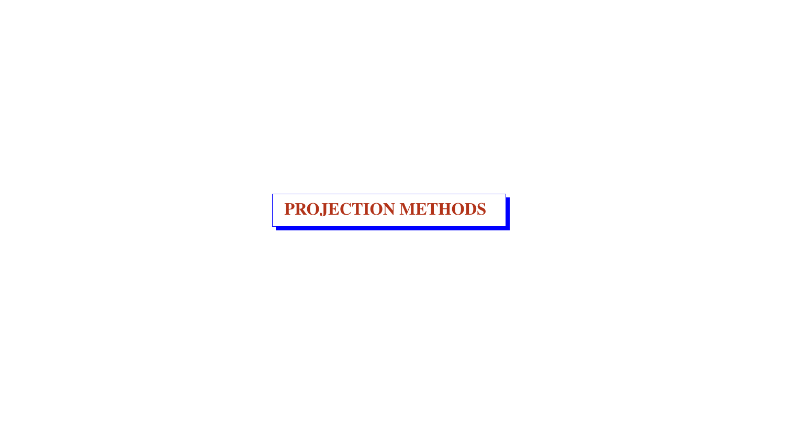PROJECTION METHODS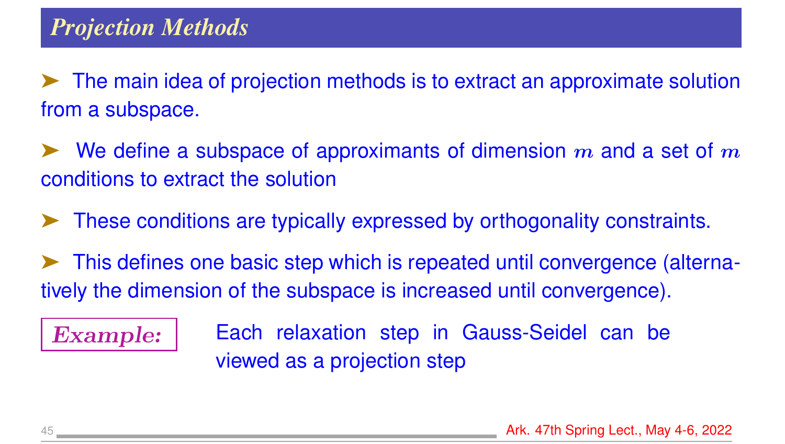➤ The main idea of projection methods is to extract an approximate solution from a subspace.

 $\blacktriangleright$  We define a subspace of approximants of dimension m and a set of m conditions to extract the solution

➤ These conditions are typically expressed by orthogonality constraints.

➤ This defines one basic step which is repeated until convergence (alternatively the dimension of the subspace is increased until convergence).

Example: | Each relaxation step in Gauss-Seidel can be viewed as a projection step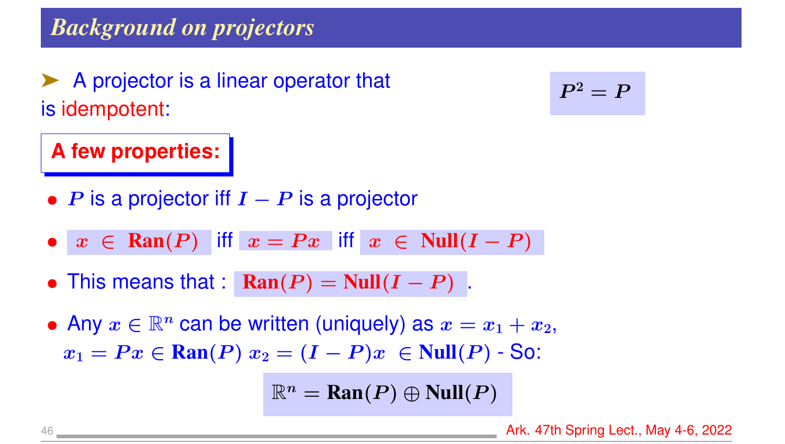# *Background on projectors*

➤ A projector is a linear operator that is idempotent:

**A few properties:**

• P is a projector iff  $I - P$  is a projector

- $x \in \text{Ran}(P)$  iff  $x = Px$  iff  $x \in \text{Null}(I P)$
- This means that :  $\text{Ran}(P) = \text{Null}(I P)$ .

• Any  $x \in \mathbb{R}^n$  can be written (uniquely) as  $x = x_1 + x_2$ ,  $x_1 = Px \in \text{Ran}(P)$   $x_2 = (I - P)x \in \text{Null}(P)$  - So:

 $\mathbb{R}^n = \text{Ran}(P) \oplus \text{Null}(P)$ 

$$
P^2=P
$$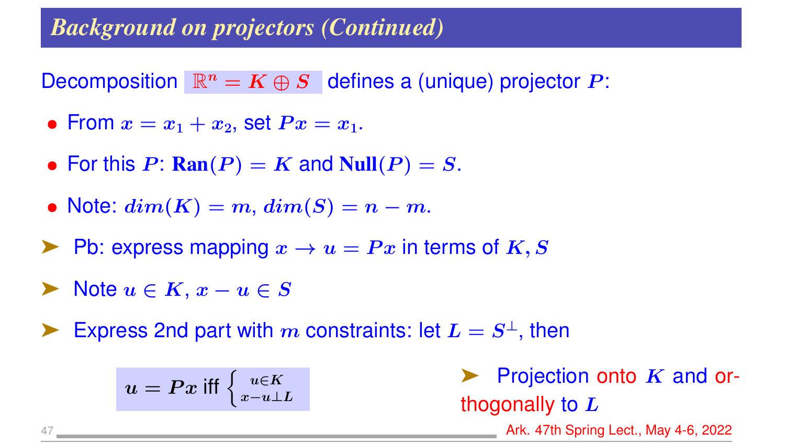# *Background on projectors (Continued)*

Decomposition  $\mathbb{R}^n = K \oplus S$  defines a (unique) projector P:

- From  $x = x_1 + x_2$ , set  $Px = x_1$ .
- For this  $P: Ran(P) = K$  and  $Null(P) = S$ .
- Note:  $dim(K) = m$ ,  $dim(S) = n m$ .
- $\blacktriangleright$  Pb: express mapping  $x \to u = Px$  in terms of K, S
- $\triangleright$  Note  $u \in K$ ,  $x u \in S$
- Express 2nd part with m constraints: let  $L = S^{\perp}$ , then

$$
u=Px \text{ iff } \Big\{\substack{u\in K \\ x-u\perp L}
$$

Projection onto  $K$  and orthogonally to  $L$ 

47 Ark. 47th Spring Lect., May 4-6, 2022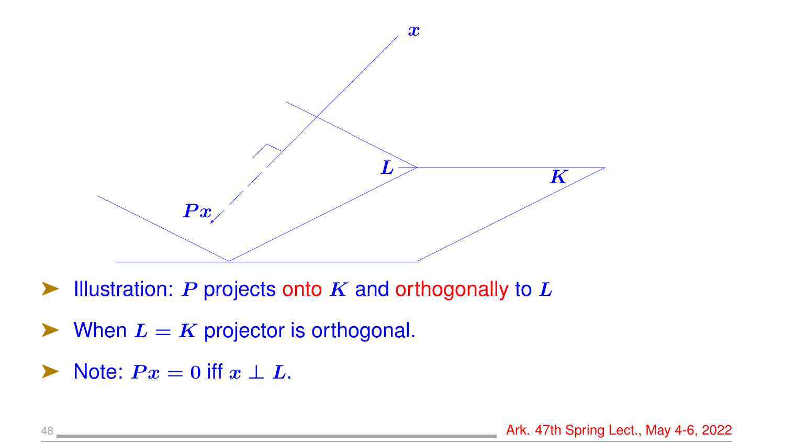

- $\blacktriangleright$  Illustration: P projects onto K and orthogonally to L
- $\blacktriangleright$  When  $L = K$  projector is orthogonal.
- $\triangleright$  Note:  $Px = 0$  iff  $x \perp L$ .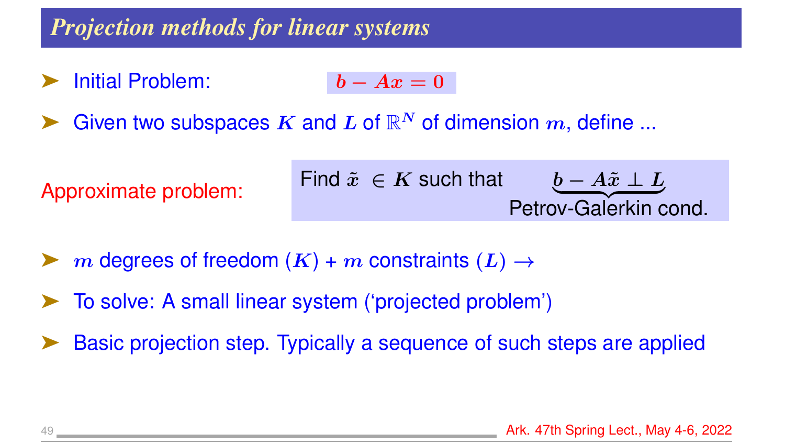### *Projection methods for linear systems*

- **Initial Problem:**  $\boldsymbol{b} A\boldsymbol{x} = 0$
- Given two subspaces K and L of  $\mathbb{R}^N$  of dimension  $m$ , define ...



- m degrees of freedom  $(K)$  + m constraints  $(L)$   $\rightarrow$
- ➤ To solve: A small linear system ('projected problem')
- Basic projection step. Typically a sequence of such steps are applied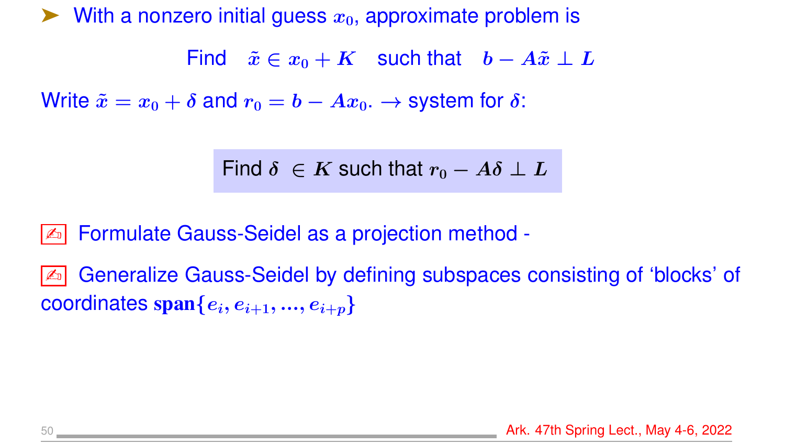$\blacktriangleright$  With a nonzero initial guess  $x_0$ , approximate problem is

Find  $\tilde{x} \in x_0 + K$  such that  $b - A\tilde{x} \perp L$ 

Write  $\tilde{x} = x_0 + \delta$  and  $r_0 = b - Ax_0$ .  $\rightarrow$  system for  $\delta$ :

Find  $\delta \in K$  such that  $r_0 - A\delta \perp L$ 

✍ Formulate Gauss-Seidel as a projection method -

✍ Generalize Gauss-Seidel by defining subspaces consisting of 'blocks' of coordinates  $\text{span}\{e_i, e_{i+1}, ..., e_{i+p}\}$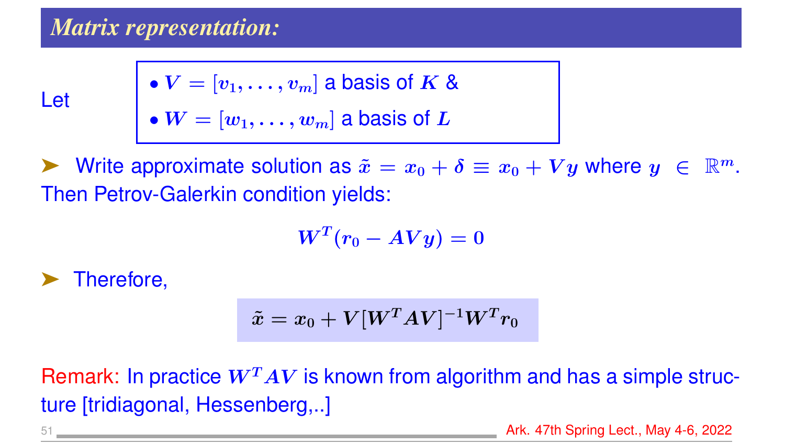# *Matrix representation:*

Let

 $\bullet$   $\boldsymbol{V} = \left[\boldsymbol{v}_1, \dots, \boldsymbol{v}_m \right]$  a basis of  $\boldsymbol{K}$  &  $\bullet$   $\boldsymbol{W} = [\boldsymbol{w}_1, \dots, \boldsymbol{w}_m]$  a basis of  $\boldsymbol{L}$ 

Write approximate solution as  $\tilde{x} = x_0 + \delta \equiv x_0 + Vy$  where  $y \in \mathbb{R}^m$ . Then Petrov-Galerkin condition yields:

$$
\boldsymbol{W}^T(\boldsymbol{r}_0 - \boldsymbol{A} \boldsymbol{V} \boldsymbol{y}) = 0
$$

Therefore,

$$
\tilde{x}=x_0+V[W^TAV]^{-1}W^T r_0
$$

Remark: In practice  $W^TAV$  is known from algorithm and has a simple structure [tridiagonal, Hessenberg,..]

51 Ark. 47th Spring Lect., May 4-6, 2022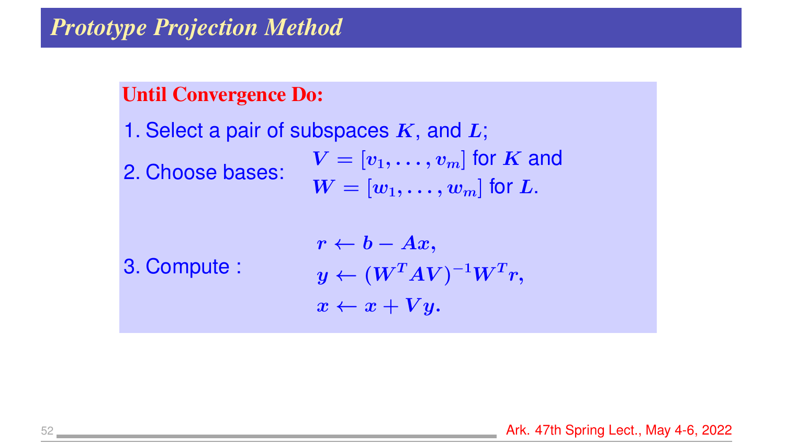#### *Prototype Projection Method*

#### Until Convergence Do:

1. Select a pair of subspaces  $K$ , and  $L$ ; 2. Choose bases:  $V = [v_1, \ldots, v_m]$  for K and  $W = [w_1, \ldots, w_m]$  for L.

3. Compute :

$$
r \leftarrow b - Ax,
$$
  
\n
$$
y \leftarrow (W^T A V)^{-1} W^T r,
$$
  
\n
$$
x \leftarrow x + Vy.
$$

52 Ark. 47th Spring Lect., May 4-6, 2022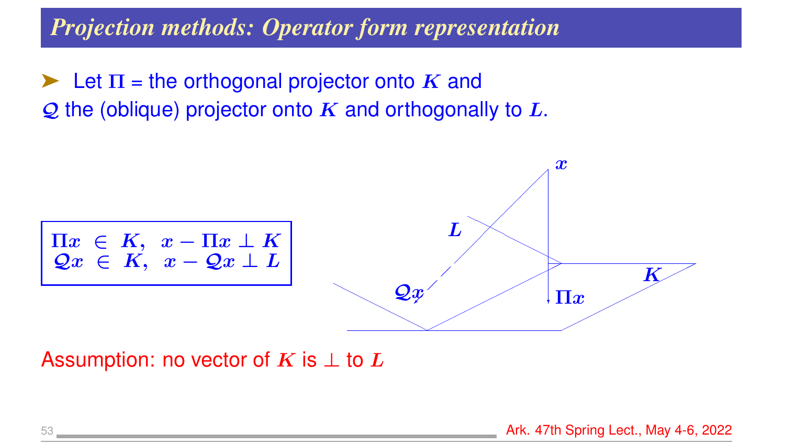### *Projection methods: Operator form representation*

 $\blacktriangleright$  Let  $\Pi$  = the orthogonal projector onto  $K$  and  $Q$  the (oblique) projector onto K and orthogonally to L.



Assumption: no vector of K is  $\perp$  to L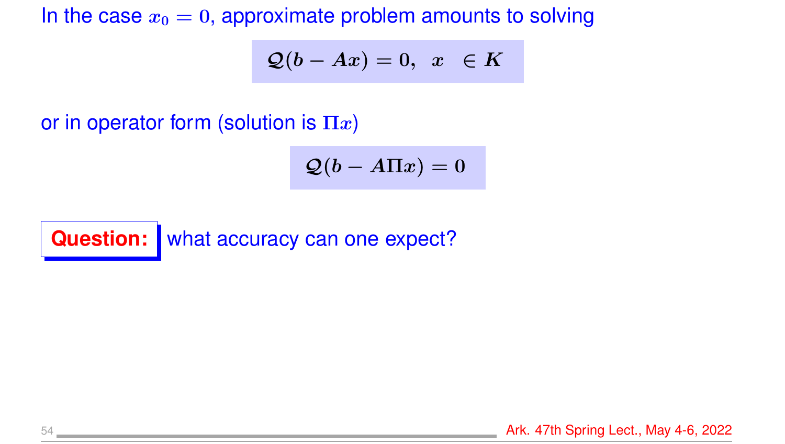In the case  $x_0 = 0$ , approximate problem amounts to solving

$$
\mathcal{Q}(b-Ax)=0,~~x~~\in K
$$

or in operator form (solution is  $\Pi x$ )

$$
\mathcal{Q}(b - A \Pi x) = 0
$$

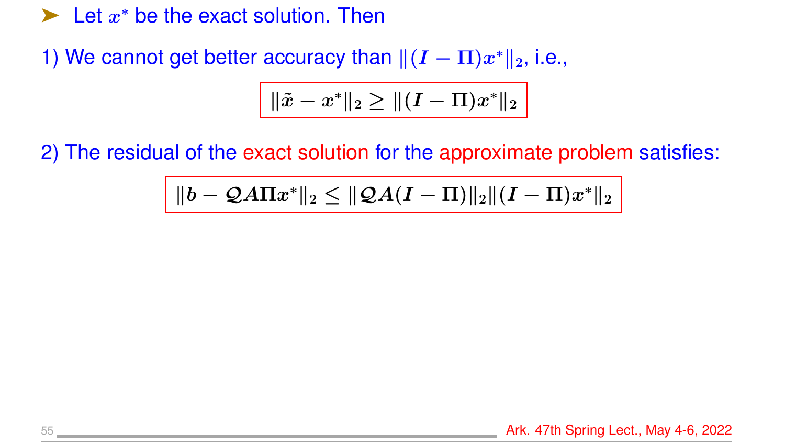$\blacktriangleright$  Let  $x^*$  be the exact solution. Then

1) We cannot get better accuracy than  $\|(I - \Pi)x^*\|_2$ , i.e.,

$$
\|\tilde{x} - x^*\|_2 \geq \|(I - \Pi) x^*\|_2
$$

2) The residual of the exact solution for the approximate problem satisfies:

$$
\|b - {\mathcal Q} A \Pi x^*\|_2 \leq \|{\mathcal Q} A (I-\Pi)\|_2 \|(I-\Pi) x^*\|_2
$$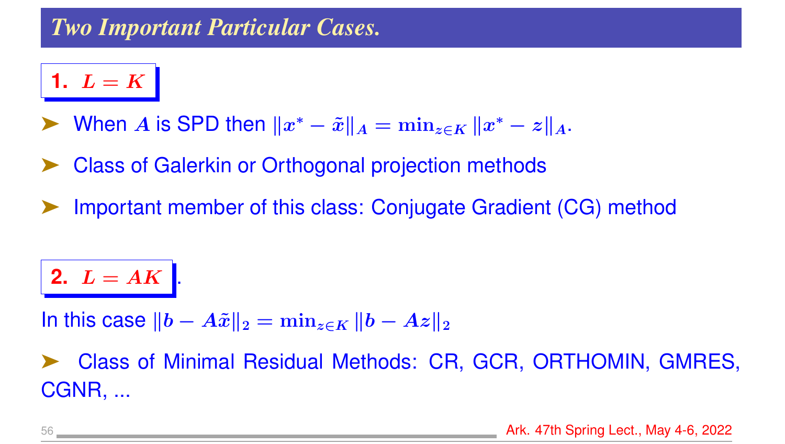# *Two Important Particular Cases.*

**1.**  $L = K$ 

- ► When A is SPD then  $||x^* \tilde{x}||_A = \min_{z \in K} ||x^* z||_A$ .
- Class of Galerkin or Orthogonal projection methods
- Important member of this class: Conjugate Gradient (CG) method

**2.**  $L = AK$  .

In this case  $||b - A\tilde{x}||_2 = \min_{z \in K} ||b - Az||_2$ 

➤ Class of Minimal Residual Methods: CR, GCR, ORTHOMIN, GMRES, CGNR, ...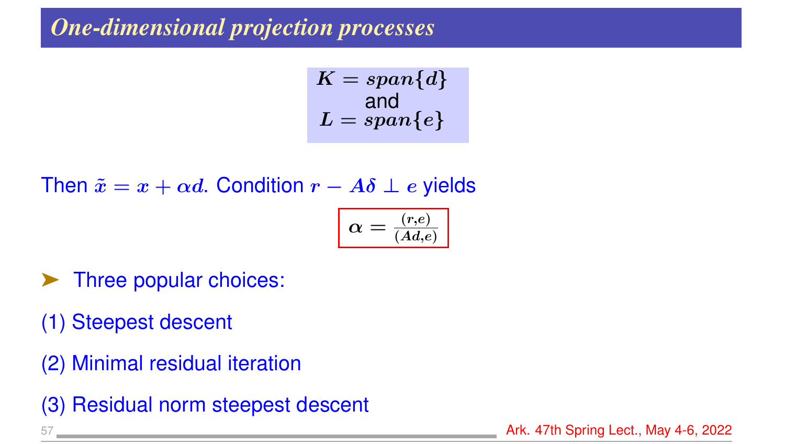# *One-dimensional projection processes*

$$
K=span\{d\}\newline \text{and} \newline L=span\{e\}
$$

#### Then  $\tilde{x} = x + \alpha d$ . Condition  $r - A\delta \perp e$  yields

$$
\boxed{\alpha = \frac{(r,e)}{(Ad,e)}}
$$

- ➤ Three popular choices:
- (1) Steepest descent
- (2) Minimal residual iteration
- (3) Residual norm steepest descent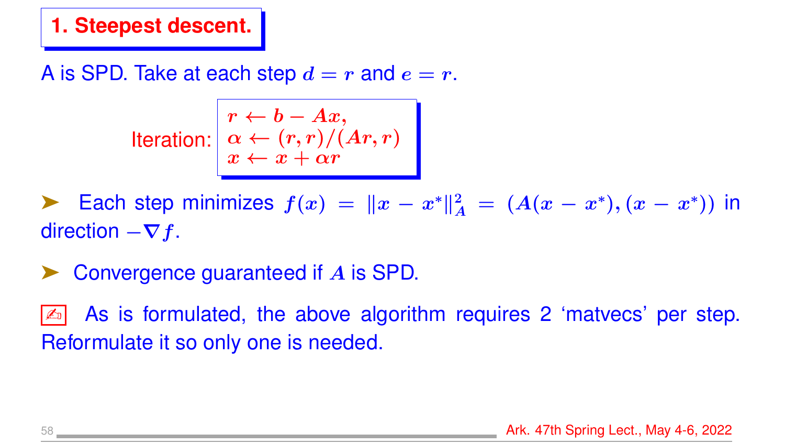#### **1. Steepest descent.**

A is SPD. Take at each step  $d = r$  and  $e = r$ .

$$
\text{Iteration:} \begin{array}{|l|l|}\n r \leftarrow & b - Ax, \\
 \alpha \leftarrow & (r, r) / (Ar, r) \\
 x \leftarrow & x + \alpha r\n \end{array}
$$

► Each step minimizes  $f(x) = ||x - x^*||_A^2 = (A(x - x^*), (x - x^*))$  in direction  $-\nabla f$ .

Convergence guaranteed if A is SPD.

As is formulated, the above algorithm requires 2 'matvecs' per step. Reformulate it so only one is needed.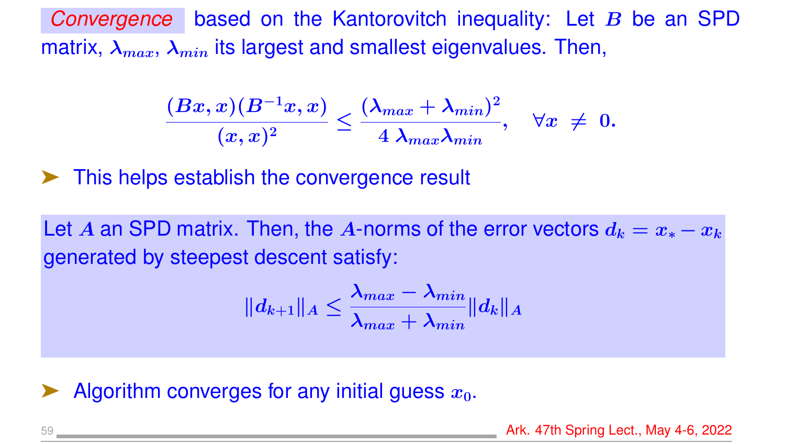*Convergence* based on the Kantorovitch inequality: Let B be an SPD matrix,  $\lambda_{max}$ ,  $\lambda_{min}$  its largest and smallest eigenvalues. Then,

$$
\frac{(Bx,x)(B^{-1}x,x)}{(x,x)^2}\leq \frac{(\lambda_{max}+\lambda_{min})^2}{4|\lambda_{max}\lambda_{min}},\quad \forall x\ \neq\ 0.
$$

➤ This helps establish the convergence result

Let A an SPD matrix. Then, the A-norms of the error vectors  $d_k = x_* - x_k$ generated by steepest descent satisfy:

$$
\|d_{k+1}\|_A\leq \frac{\lambda_{max}-\lambda_{min}}{\lambda_{max}+\lambda_{min}}\|d_k\|_A
$$

Algorithm converges for any initial guess  $x_0$ .

59 **Ark. 47th Spring Lect., May 4-6, 2022 Ark. 47th Spring Lect., May 4-6, 2022**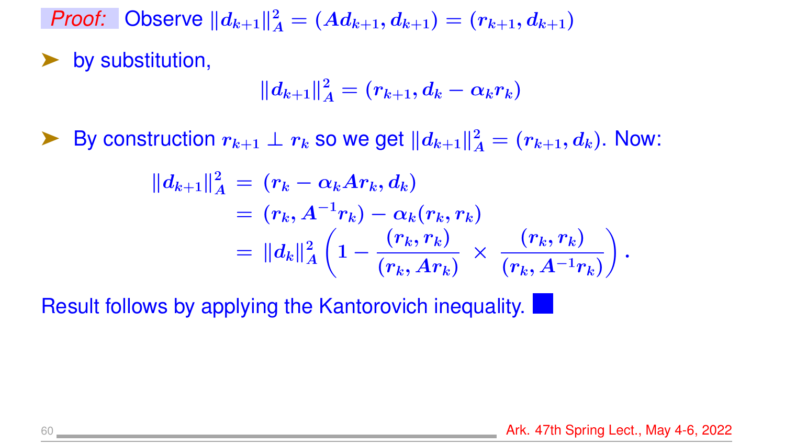*Proof:* Observe  $||d_{k+1}||_A^2 = (Ad_{k+1}, d_{k+1}) = (r_{k+1}, d_{k+1})$ 

by substitution,

$$
\|d_{k+1}\|_A^2=(r_{k+1},d_k-\alpha_k r_k)
$$

▶ By construction  $r_{k+1} \perp r_k$  so we get  $||d_{k+1}||_A^2 = (r_{k+1}, d_k)$ . Now:

$$
\begin{aligned} \| d_{k+1} \|^2_A &= (r_k - \alpha_k A r_k, d_k) \\ &= (r_k, A^{-1} r_k) - \alpha_k (r_k, r_k) \\ &= \| d_k \|^2_A \left( 1 - \frac{(r_k, r_k)}{(r_k, Ar_k)} \, \times \, \frac{(r_k, r_k)}{(r_k, A^{-1} r_k)} \right). \end{aligned}
$$

Result follows by applying the Kantorovich inequality.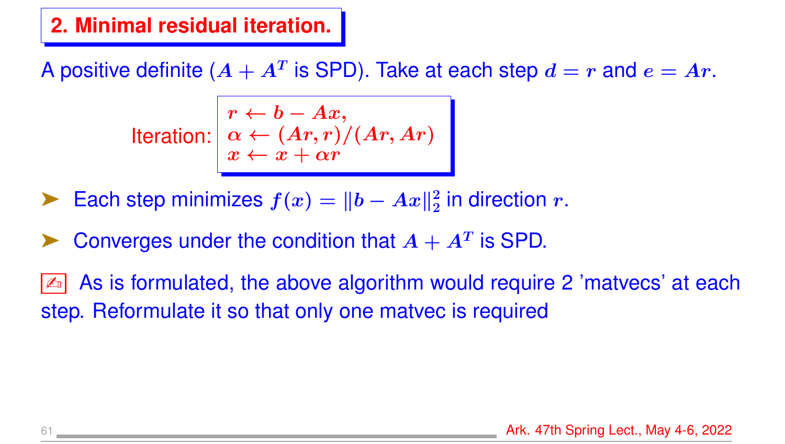#### **2. Minimal residual iteration.**

A positive definite  $(A + A^T$  is SPD). Take at each step  $d = r$  and  $e = Ar$ .

$$
\text{Iteration:} \begin{array}{l} r \leftarrow b - Ax, \\ \alpha \leftarrow (Ar, r)/(Ar, Ar) \\ x \leftarrow x + \alpha r \end{array}
$$

- ► Each step minimizes  $f(x) = ||b Ax||_2^2$  $\frac{2}{2}$  in direction  $r.$
- ▶ Converges under the condition that  $A + A^T$  is SPD.
- As is formulated, the above algorithm would require 2 'matvecs' at each step. Reformulate it so that only one matvec is required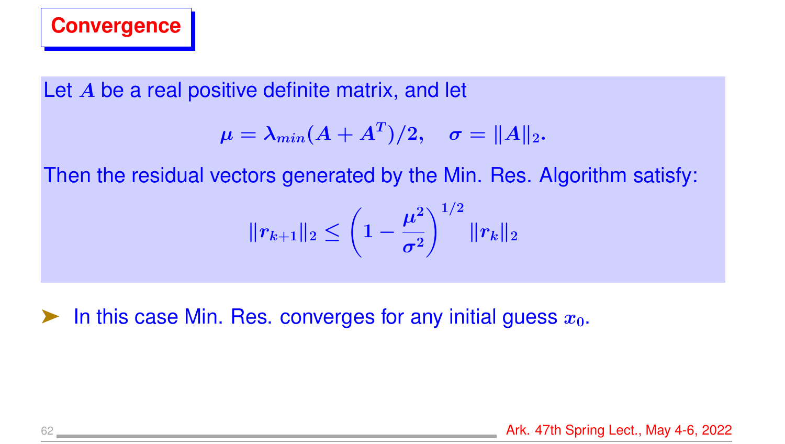

Let A be a real positive definite matrix, and let

$$
\mu = \lambda_{min}(A+A^T)/2, \quad \sigma = \|A\|_2.
$$

Then the residual vectors generated by the Min. Res. Algorithm satisfy:

$$
\|r_{k+1}\|_2 \leq \left(1-\frac{\mu^2}{\sigma^2}\right)^{1/2}\|r_k\|_2
$$

**EXECUTE:** In this case Min. Res. converges for any initial guess  $x_0$ .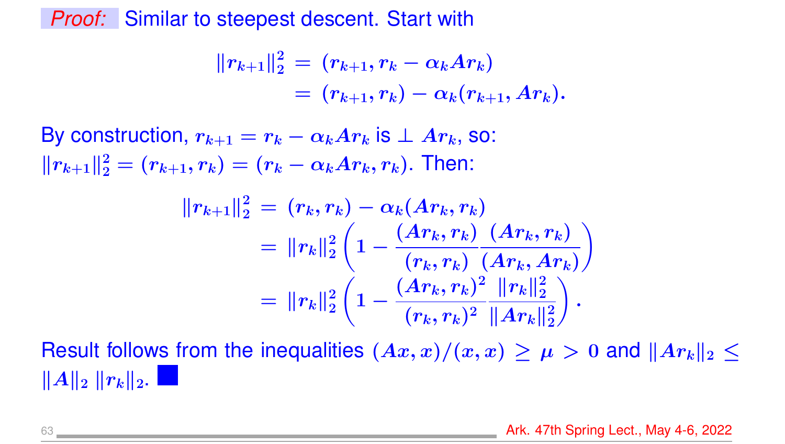*Proof:* Similar to steepest descent. Start with

$$
\begin{aligned}\|r_{k+1}\|_2^2 &= \ (r_{k+1}, r_k - \alpha_k A r_k) \\
&= \ (r_{k+1}, r_k) - \alpha_k (r_{k+1}, A r_k).\end{aligned}
$$

By construction,  $r_{k+1} = r_k - \alpha_k Ar_k$  is  $\perp Ar_k$ , so:  $||r_{k+1}||_2^2 = (r_{k+1}, r_k) = (r_k - \alpha_k A r_k, r_k)$ . Then:

$$
||r_{k+1}||_2^2 = (r_k, r_k) - \alpha_k(Ar_k, r_k)
$$
  
=  $||r_k||_2^2 \left(1 - \frac{(Ar_k, r_k)}{(r_k, r_k)} \frac{(Ar_k, r_k)}{(Ar_k, Ar_k)}\right)$   
=  $||r_k||_2^2 \left(1 - \frac{(Ar_k, r_k)^2}{(r_k, r_k)^2} \frac{||r_k||_2^2}{||Ar_k||_2^2}\right).$ 

Result follows from the inequalities  $(Ax, x)/(x, x) \ge \mu > 0$  and  $||Ar_k||_2 \le$  $\Vert A\Vert_2$   $\Vert r_k\Vert_2$ .

63 **Ark. 47th Spring Lect., May 4-6, 2022**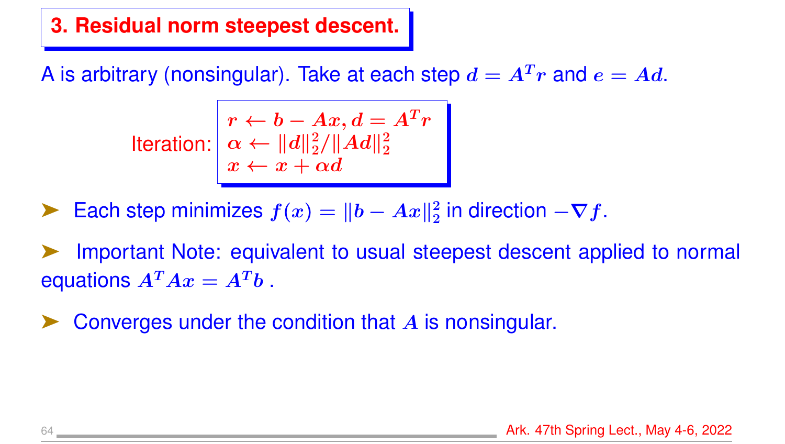#### **3. Residual norm steepest descent.**

A is arbitrary (nonsingular). Take at each step  $d = A<sup>T</sup>r$  and  $e = Ad$ .

$$
\text{Iteration:} \begin{vmatrix} r \leftarrow b - Ax, d = A^T r \\ \alpha \leftarrow ||d||_2^2 / ||Ad||_2^2 \\ x \leftarrow x + \alpha d \end{vmatrix}
$$

► Each step minimizes  $f(x) = ||b - Ax||_2^2$  $\frac{2}{2}$  in direction  $-\bm{\nabla}f.$ 

Important Note: equivalent to usual steepest descent applied to normal equations  $A^T A x = A^T b$ .

Converges under the condition that A is nonsingular.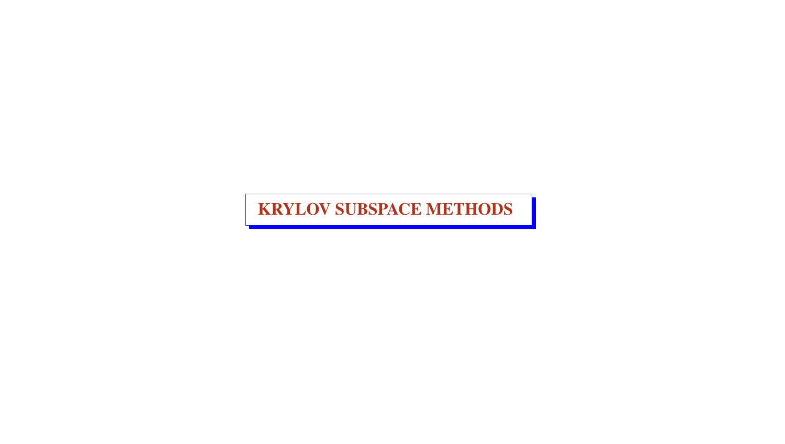KRYLOV SUBSPACE METHODS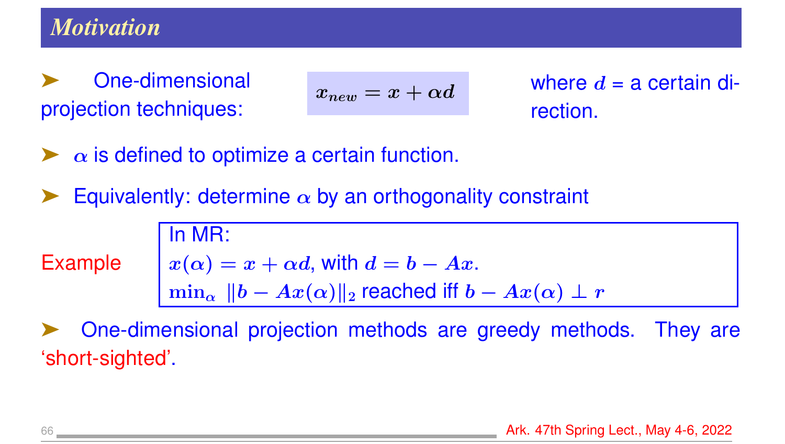### *Motivation*

One-dimensional projection techniques:

$$
x_{new} = x + \alpha d
$$

where  $d = a$  certain direction.

- $\alpha$  is defined to optimize a certain function.
- Equivalently: determine  $\alpha$  by an orthogonality constraint

In MR:

Example

$$
x(\alpha) = x + \alpha d
$$
, with  $d = b - Ax$ .  
\n
$$
\min_{\alpha} ||b - Ax(\alpha)||_2
$$
 reached iff  $b - Ax(\alpha) \perp r$ 

➤ One-dimensional projection methods are greedy methods. They are 'short-sighted'.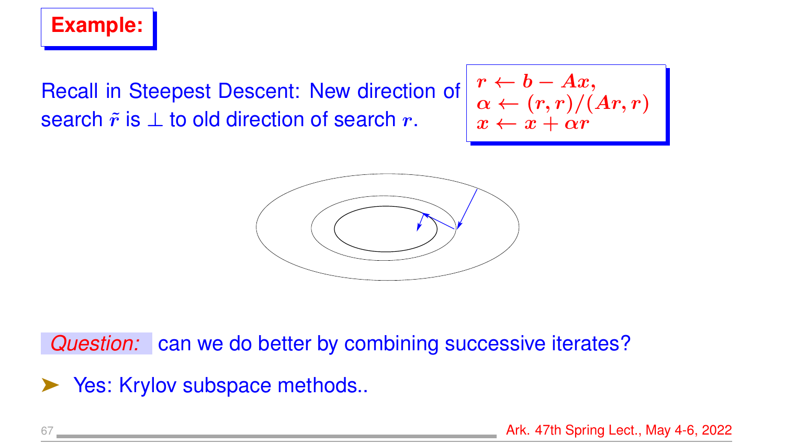

Recall in Steepest Descent: New direction of search  $\tilde{r}$  is  $\perp$  to old direction of search r.

$$
\begin{array}{c}\n r \leftarrow b - Ax, \\
 \alpha \leftarrow (r,r)/(Ar,r) \\
 x \leftarrow x + \alpha r\n\end{array}
$$



*Question:* can we do better by combining successive iterates?

▶ Yes: Krylov subspace methods..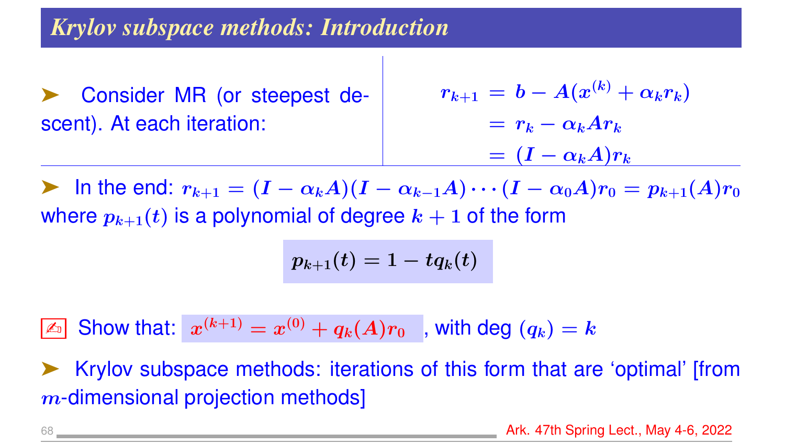### *Krylov subspace methods: Introduction*

➤ Consider MR (or steepest descent). At each iteration:

$$
r_{k+1} = b - A(x^{(k)} + \alpha_k r_k)
$$
  
=  $r_k - \alpha_k A r_k$   
=  $(I - \alpha_k A) r_k$ 

In the end:  $r_{k+1} = (I - \alpha_k A)(I - \alpha_{k-1} A) \cdots (I - \alpha_0 A) r_0 = p_{k+1}(A) r_0$ where  $p_{k+1}(t)$  is a polynomial of degree  $k + 1$  of the form

$$
p_{k+1}(t) = 1 - t q_k(t) \quad
$$

 $\boxed{\mathbb{Z}_{{\scriptscriptstyle\mathbb{D}}}}$  Show that:  $x^{(k+1)}=x^{(0)}+q_k(A)r_0~$  , with deg  $(q_k)=k$ 

➤ Krylov subspace methods: iterations of this form that are 'optimal' [from m-dimensional projection methods]

68 **Ark. 47th Spring Lect., May 4-6, 2022**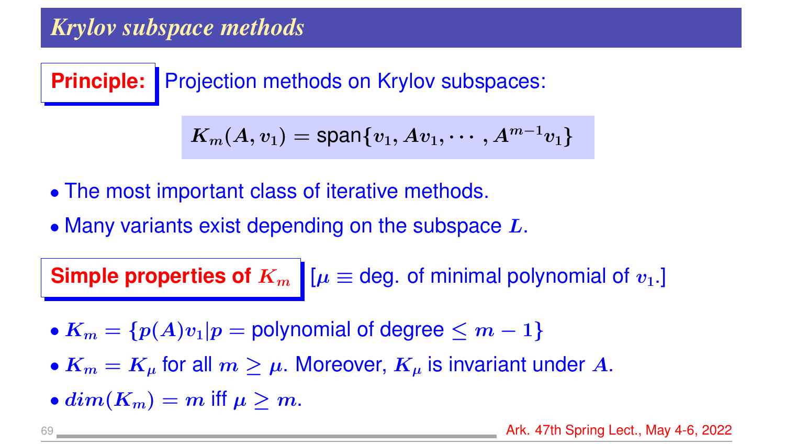# *Krylov subspace methods*

**Principle:** Projection methods on Krylov subspaces:

$$
\boldsymbol{K_m(A,v_1)=\text{span}\{v_1,Av_1,\cdots,A^{m-1}v_1\}}
$$

- The most important class of iterative methods.
- Many variants exist depending on the subspace  $L$ .

**Simple properties of**  $K_m$   $\mu \equiv$  deg. of minimal polynomial of  $v_1$ .

- $K_m = \{p(A)v_1|p =$  polynomial of degree  $\leq m-1\}$
- $K_m = K_\mu$  for all  $m \geq \mu$ . Moreover,  $K_\mu$  is invariant under A.
- $dim(K_m) = m$  iff  $\mu > m$ .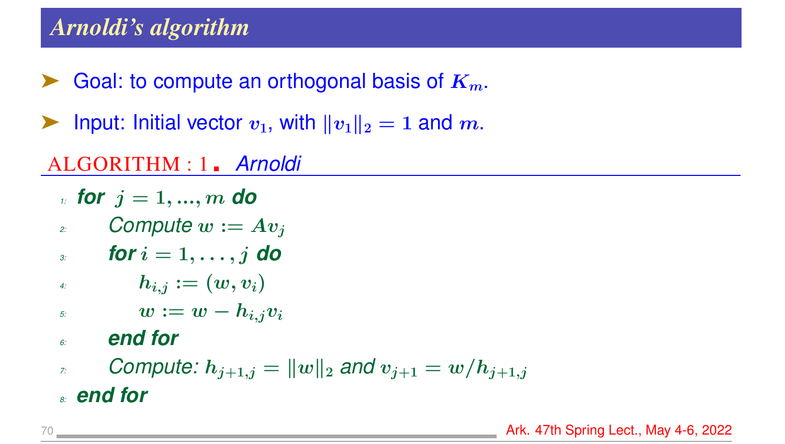# *Arnoldi's algorithm*

- Goal: to compute an orthogonal basis of  $K_m$ .
- ightharpoonup Input: Initial vector  $v_1$ , with  $||v_1||_2 = 1$  and m.

## ALGORITHM : 1 *Arnoldi*

- *1: for*  $j = 1, ..., m$  *do*
- 2: **Compute**  $w := Av_i$
- $\boldsymbol{j}$  *s for*  $i = 1, \ldots, j$  **do**
- *4:*  $h_{i,j} := (w, v_i)$
- $\lim_{t \to \infty} w := w h_{i,j}v_i$

#### *6: end for*

*7: Compute:*  $h_{j+1,j} = ||w||_2$  and  $v_{j+1} = w/h_{j+1,j}$ 

*8: end for*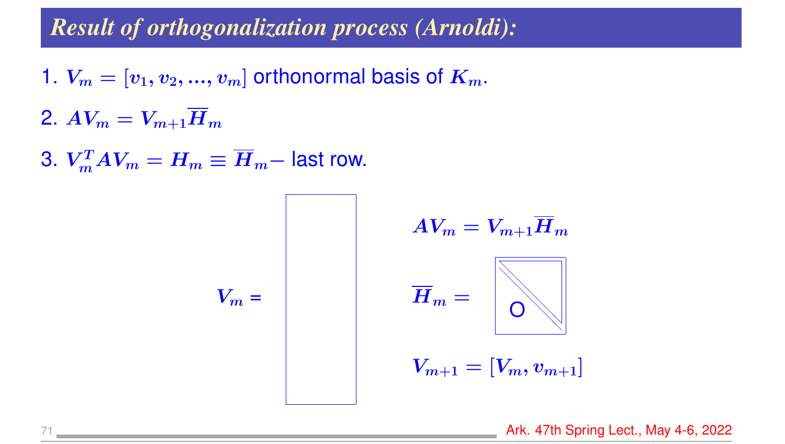# *Result of orthogonalization process (Arnoldi):*

- 1.  $V_m = [v_1, v_2, ..., v_m]$  orthonormal basis of  $K_m$ .
- 2.  $AV_m = V_{m+1}H_m$
- 3.  $V_m^T A V_m = H_m \equiv \overline{H}_m -$  last row.

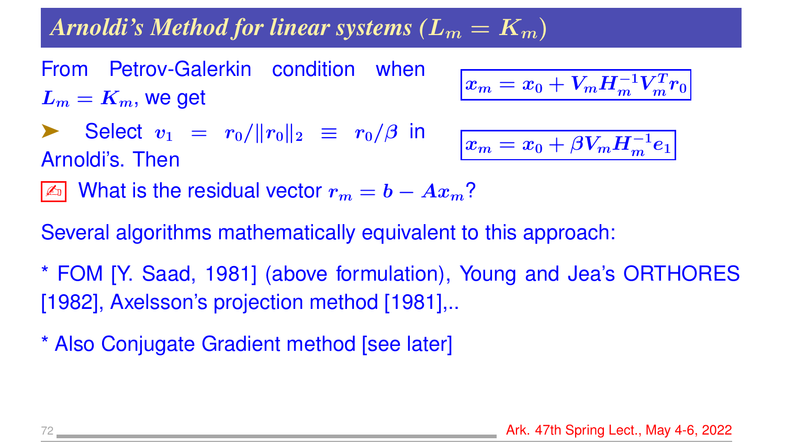# *Arnoldi's Method for linear systems (* $L_m = K_m$ *)*

From Petrov-Galerkin condition when  $L_m = K_m$ , we get

$$
\boxed{x_m = x_0 + V_m H_m^{-1} V_m^T r_0}
$$

Select 
$$
v_1 = r_0 / ||r_0||_2 \equiv r_0 / \beta
$$
 in  
Arnoldi's. Then

$$
\boxed{x_m = x_0 + \beta V_m H_m^{-1} e_1}
$$

 $\boxed{\mathbb{Z}$  What is the residual vector  $r_m = b - Ax_m$ ?

Several algorithms mathematically equivalent to this approach:

- \* FOM [Y. Saad, 1981] (above formulation), Young and Jea's ORTHORES [1982], Axelsson's projection method [1981],..
- \* Also Conjugate Gradient method [see later]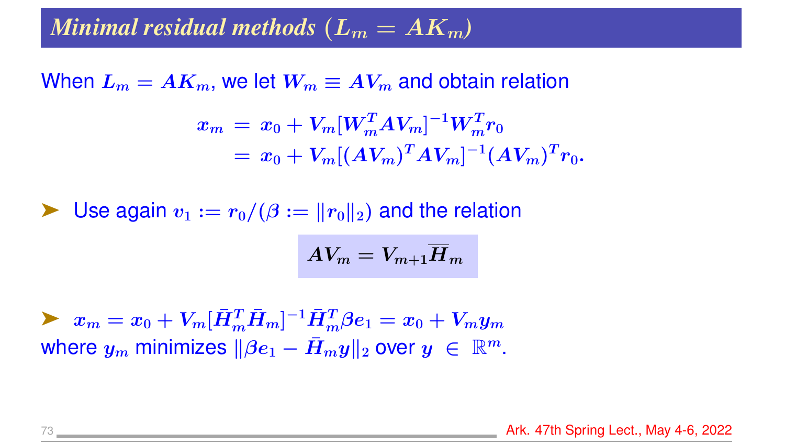### *Minimal residual methods*  $(L_m = AK_m)$

When  $L_m = AK_m$ , we let  $W_m \equiv AV_m$  and obtain relation

$$
\begin{aligned} x_m \, &= \, x_0 + V_m [W_m^T A V_m]^{-1} W_m^T r_0 \\ &= \, x_0 + V_m [(A V_m)^T A V_m]^{-1} (A V_m)^T r_0. \end{aligned}
$$

 $\blacktriangleright$  Use again  $v_1 := r_0/(\beta := ||r_0||_2)$  and the relation

$$
AV_m = V_{m+1} \overline{H}_m
$$

 $\blacktriangleright \;\; x_m = x_0 + V_m [\bar{H}_m^T \bar{H}_m]^{-1} \bar{H}_m^T \beta e_1 = x_0 + V_m y_m$ where  $y_m$  minimizes  $\|\beta e_1 - \bar{H}_m y\|_2$  over  $y \in \mathbb{R}^m$ .

73 **Ark. 47th Spring Lect., May 4-6, 2022 Ark. 47th Spring Lect., May 4-6, 2022**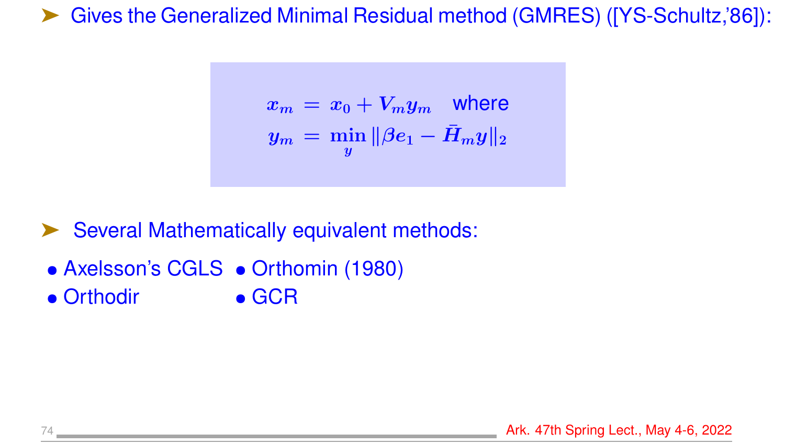➤ Gives the Generalized Minimal Residual method (GMRES) ([YS-Schultz,'86]):

$$
x_m \,=\, x_0 + V_m y_m \quad \text{where} \quad
$$
  

$$
y_m \,=\, \min_y \|\beta e_1 - \bar{H}_m y\|_2
$$

Several Mathematically equivalent methods:

- Axelsson's CGLS Orthomin (1980)
- Orthodir GCR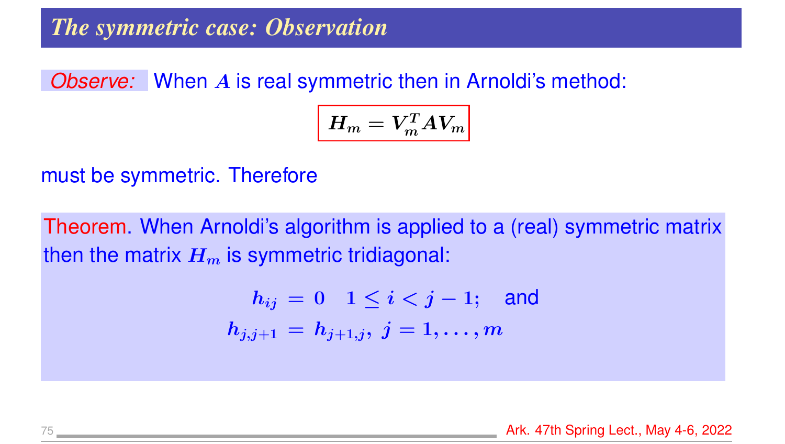### *The symmetric case: Observation*

#### *Observe:* When A is real symmetric then in Arnoldi's method:

$$
\left|H_m = V_m^T A V_m\right|
$$

must be symmetric. Therefore

Theorem. When Arnoldi's algorithm is applied to a (real) symmetric matrix then the matrix  $H_m$  is symmetric tridiagonal:

$$
h_{ij} = 0 \quad 1 \leq i < j-1; \quad \text{and} \\ h_{j,j+1} = h_{j+1,j}, \ j = 1, \dots, m
$$

75 **Ark. 47th Spring Lect., May 4-6, 2022**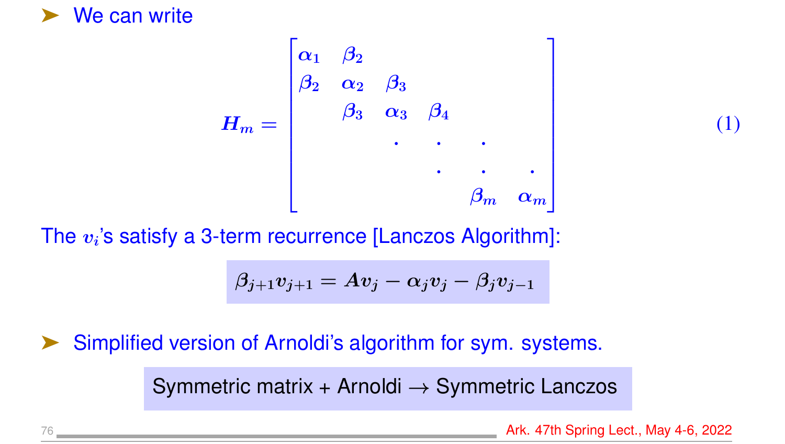

$$
H_m = \begin{bmatrix} \alpha_1 & \beta_2 & & & \\ \beta_2 & \alpha_2 & \beta_3 & & \\ & \beta_3 & \alpha_3 & \beta_4 & & \\ & & \ddots & \ddots & \ddots & \\ & & & \beta_m & \alpha_m \end{bmatrix}
$$

The  $v_i$ 's satisfy a 3-term recurrence [Lanczos Algorithm]:

$$
\beta_{j+1}v_{j+1}=Av_j-\alpha_jv_j-\beta_jv_{j-1}
$$

#### Simplified version of Arnoldi's algorithm for sym. systems.

Symmetric matrix + Arnoldi → Symmetric Lanczos

76 **Ark. 47th Spring Lect., May 4-6, 2022** 

(1)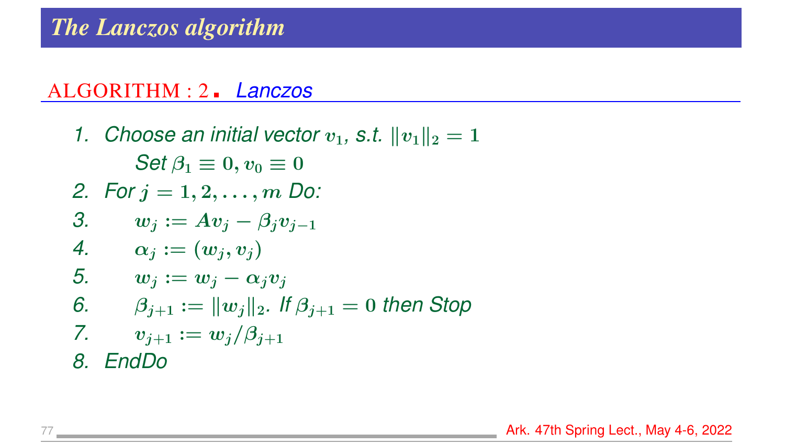### *The Lanczos algorithm*

#### ALGORITHM : 2 *Lanczos*

*1. Choose an initial vector*  $v_1$ , *s.t.*  $||v_1||_2 = 1$ *Set*  $\beta_1 \equiv 0, v_0 \equiv 0$ *2. For* j = 1, 2, . . . , m *Do:* 3.  $w_i := Av_i - \beta_i v_{i-1}$ 4.  $\alpha_j := (w_j, v_j)$ 5.  $w_j := w_j - \alpha_j v_j$ *6.*  $\beta_{i+1} := ||w_i||_2$ . If  $\beta_{i+1} = 0$  then Stop *7.*  $v_{j+1} := w_j/\beta_{j+1}$ *8. EndDo*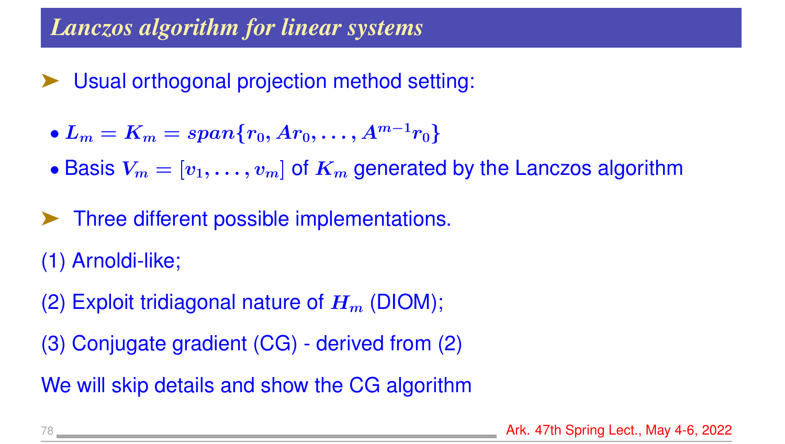### *Lanczos algorithm for linear systems*

- Usual orthogonal projection method setting:
- $L_m = K_m = span\{r_0, Ar_0, \ldots, A^{m-1}r_0\}$
- Basis  $V_m = [v_1, \ldots, v_m]$  of  $K_m$  generated by the Lanczos algorithm
- ➤ Three different possible implementations.
- (1) Arnoldi-like;
- (2) Exploit tridiagonal nature of  $H_m$  (DIOM);
- (3) Conjugate gradient (CG) derived from (2)

We will skip details and show the CG algorithm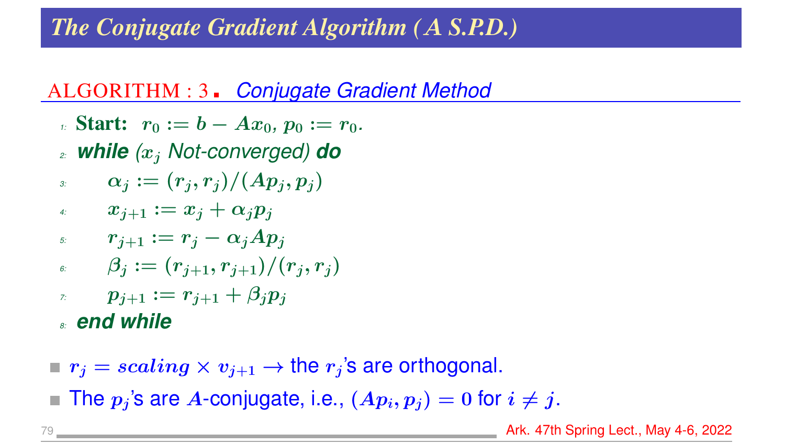# *The Conjugate Gradient Algorithm (*A *S.P.D.)*

## ALGORITHM : 3 *Conjugate Gradient Method*

- *1*: **Start:**  $r_0 := b Ax_0, p_0 := r_0$ .
- *2: while (*x<sup>j</sup> *Not-converged) do*
- *3:*  $\alpha_j := (r_j, r_j)/(Ap_j, p_j)$
- *4:*  $x_{j+1} := x_j + \alpha_j p_j$
- *5:*  $r_{j+1} := r_j \alpha_j Ap_j$
- $\beta_i := (r_{i+1}, r_{i+1})/(r_i, r_i)$
- *7:*  $p_{i+1} := r_{i+1} + \beta_i p_i$

*8: end while*

- $r_j = scaling \times v_{j+1} \rightarrow$  the  $r_j$ 's are orthogonal.
- The  $p_i$ 's are A-conjugate, i.e.,  $(Ap_i, p_j) = 0$  for  $i \neq j$ .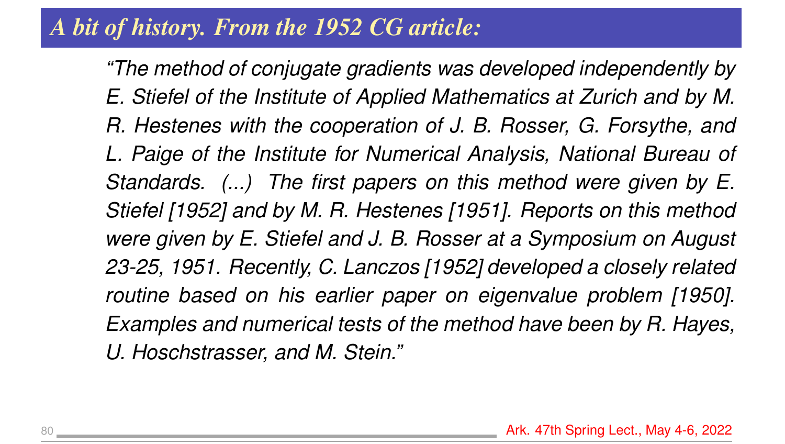# *A bit of history. From the 1952 CG article:*

*"The method of conjugate gradients was developed independently by E. Stiefel of the Institute of Applied Mathematics at Zurich and by M. R. Hestenes with the cooperation of J. B. Rosser, G. Forsythe, and L. Paige of the Institute for Numerical Analysis, National Bureau of Standards. (...) The first papers on this method were given by E. Stiefel [1952] and by M. R. Hestenes [1951]. Reports on this method were given by E. Stiefel and J. B. Rosser at a Symposium on August 23-25, 1951. Recently, C. Lanczos [1952] developed a closely related routine based on his earlier paper on eigenvalue problem [1950]. Examples and numerical tests of the method have been by R. Hayes, U. Hoschstrasser, and M. Stein."*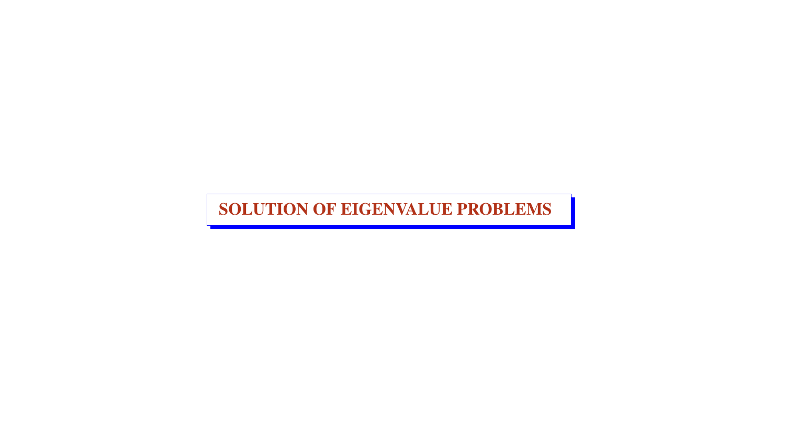SOLUTION OF EIGENVALUE PROBLEMS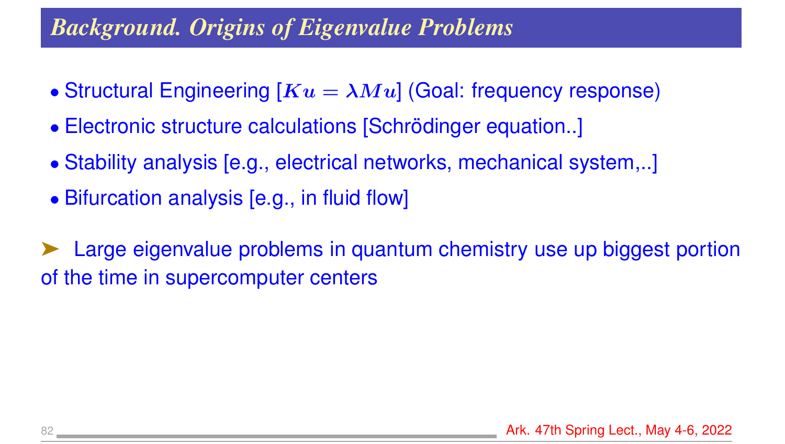# *Background. Origins of Eigenvalue Problems*

- Structural Engineering  $[Ku = \lambda Mu]$  (Goal: frequency response)
- Electronic structure calculations [Schrödinger equation..]
- Stability analysis [e.g., electrical networks, mechanical system,..]
- Bifurcation analysis [e.g., in fluid flow]

Large eigenvalue problems in quantum chemistry use up biggest portion of the time in supercomputer centers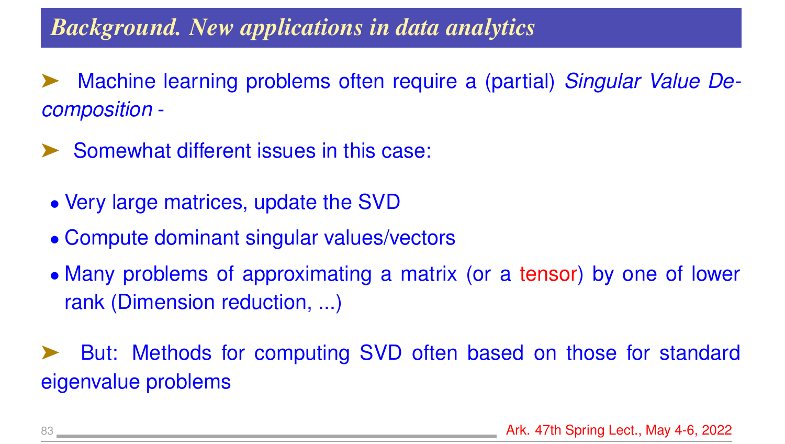### *Background. New applications in data analytics*

- ➤ Machine learning problems often require a (partial) *Singular Value Decomposition* -
- ➤ Somewhat different issues in this case:
- Very large matrices, update the SVD
- Compute dominant singular values/vectors
- Many problems of approximating a matrix (or a tensor) by one of lower rank (Dimension reduction, ...)

➤ But: Methods for computing SVD often based on those for standard eigenvalue problems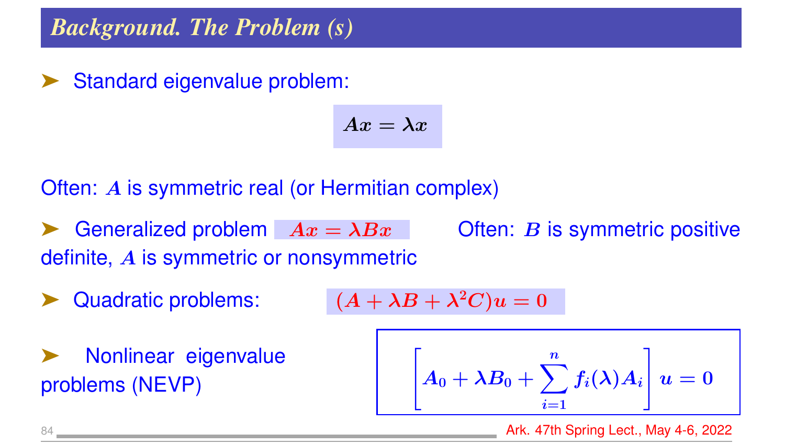### *Background. The Problem (s)*

Standard eigenvalue problem:

$$
Ax=\lambda x
$$

### Often: A is symmetric real (or Hermitian complex)

- Generalized problem  $Ax = \lambda Bx$  Often: B is symmetric positive definite, A is symmetric or nonsymmetric
- Quadratic problems:

$$
(A+\lambda B+\lambda^2C)u=0
$$

▶ Nonlinear eigenvalue<br>problems (NEVP)

$$
\left[A_0 + \lambda B_0 + \sum_{i=1}^n f_i(\lambda) A_i\right] u = 0
$$

84 Ark. 47th Spring Lect., May 4-6, 2022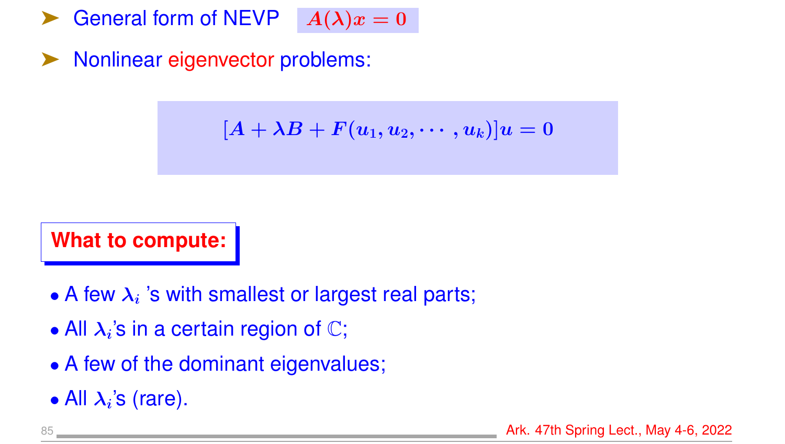General form of NEVP  $A(\lambda)x = 0$ 

➤ Nonlinear eigenvector problems:

$$
[A+\lambda B+F(u_1,u_2,\cdots,u_k)]u=0
$$

**What to compute:**

- A few  $\lambda_i$  's with smallest or largest real parts;
- All  $\lambda_i$ 's in a certain region of  $\mathbb{C}$ ;
- A few of the dominant eigenvalues;
- All  $\lambda_i$ 's (rare).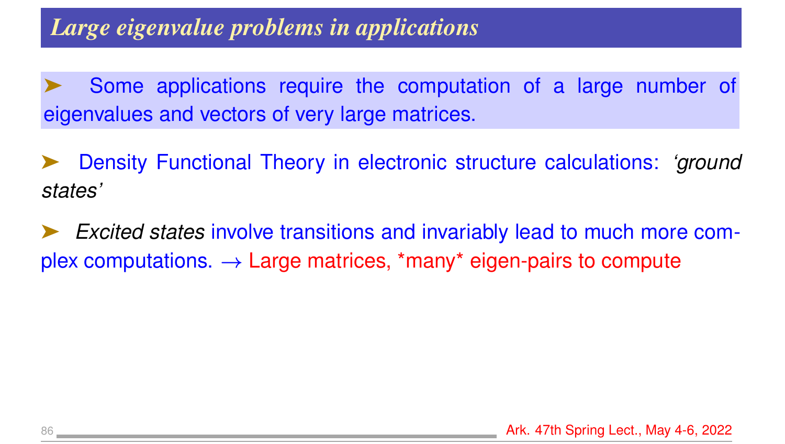# *Large eigenvalue problems in applications*

Some applications require the computation of a large number of eigenvalues and vectors of very large matrices.

➤ Density Functional Theory in electronic structure calculations: *'ground states'*

➤ *Excited states* involve transitions and invariably lead to much more complex computations.  $\rightarrow$  Large matrices, \*many\* eigen-pairs to compute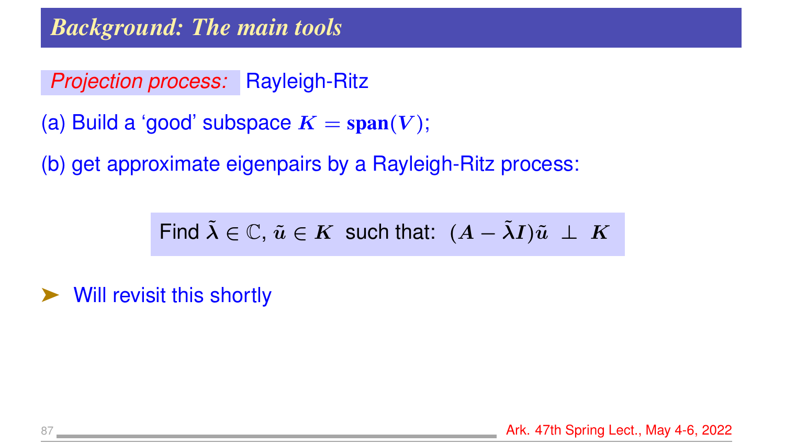*Projection process:* Rayleigh-Ritz

```
(a) Build a 'good' subspace K = span(V);
```
(b) get approximate eigenpairs by a Rayleigh-Ritz process:

Find  $\tilde{\lambda} \in \mathbb{C}$ ,  $\tilde{u} \in K$  such that:  $(A - \tilde{\lambda}I)\tilde{u} \perp K$ 

➤ Will revisit this shortly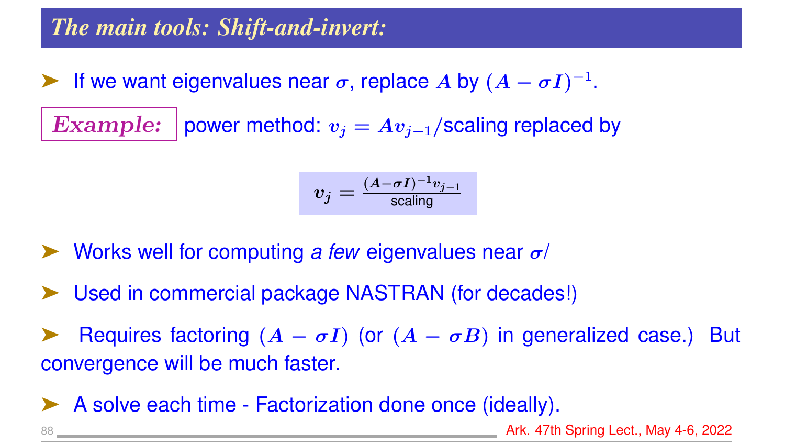### *The main tools: Shift-and-invert:*

Five want eigenvalues near  $\sigma$ , replace A by  $(A - \sigma I)^{-1}$ .

Example: power method:  $v_j = Av_{j-1}/s$ caling replaced by

$$
v_j = \tfrac{(A - \sigma I)^{-1} v_{j-1}}{\text{scaling}}
$$

- ➤ Works well for computing *a few* eigenvalues near σ/
- Used in commercial package NASTRAN (for decades!)

Requires factoring  $(A - \sigma I)$  (or  $(A - \sigma B)$  in generalized case.) But convergence will be much faster.

➤ A solve each time - Factorization done once (ideally).

88 Ark. 47th Spring Lect., May 4-6, 2022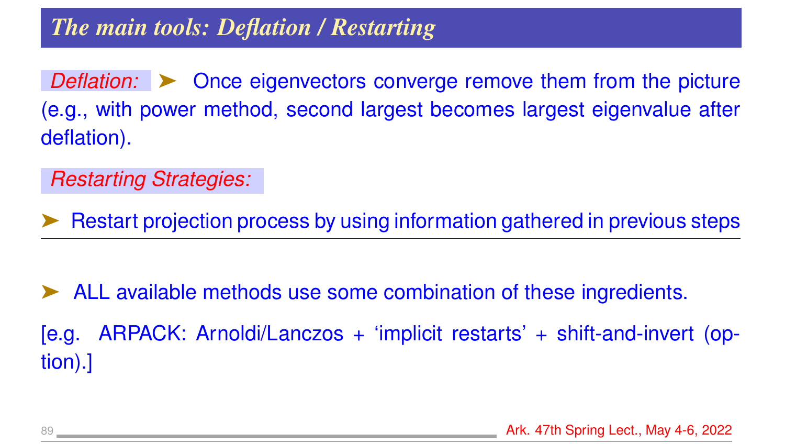*Deflation:*  $\triangleright$  Once eigenvectors converge remove them from the picture (e.g., with power method, second largest becomes largest eigenvalue after deflation).

*Restarting Strategies:*

➤ Restart projection process by using information gathered in previous steps

ALL available methods use some combination of these ingredients. [e.g. ARPACK: Arnoldi/Lanczos + 'implicit restarts' + shift-and-invert (option).]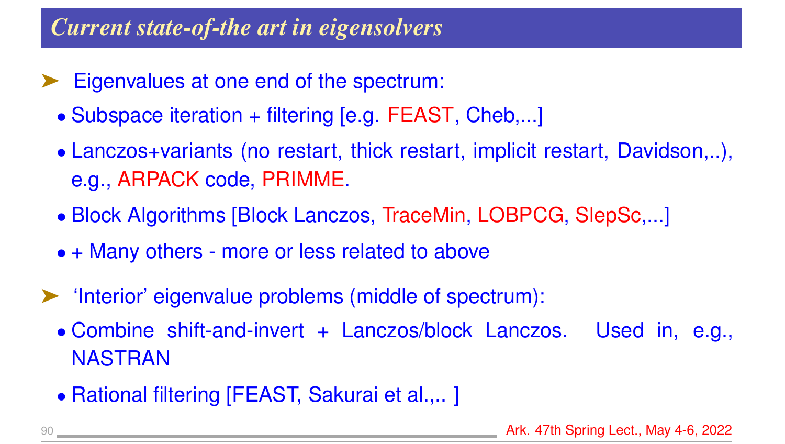### *Current state-of-the art in eigensolvers*

- Eigenvalues at one end of the spectrum:
	- Subspace iteration + filtering [e.g. FEAST, Cheb,...]
	- Lanczos+variants (no restart, thick restart, implicit restart, Davidson,..), e.g., ARPACK code, PRIMME.
	- Block Algorithms [Block Lanczos, TraceMin, LOBPCG, SlepSc,...]
	- + Many others more or less related to above
- ➤ 'Interior' eigenvalue problems (middle of spectrum):
	- Combine shift-and-invert + Lanczos/block Lanczos. Used in, e.g., NASTRAN
	- Rational filtering [FEAST, Sakurai et al.,.. ]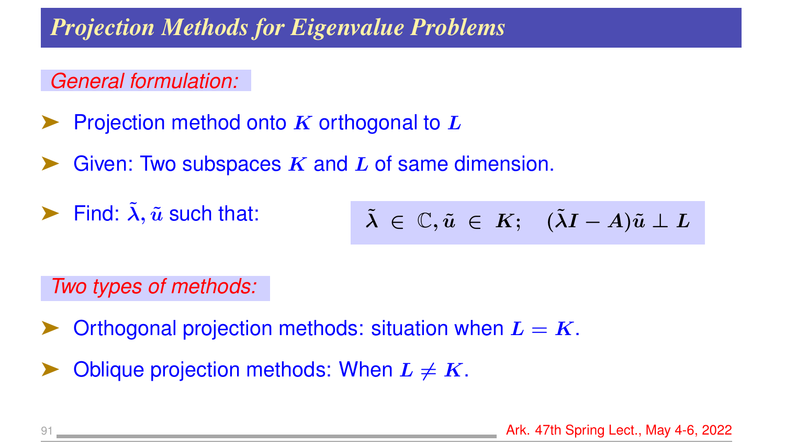### *Projection Methods for Eigenvalue Problems*

### *General formulation:*

- Projection method onto  $K$  orthogonal to  $L$
- Given: Two subspaces  $K$  and  $L$  of same dimension.
- $\blacktriangleright$  Find:  $\tilde{\lambda}$ ,  $\tilde{u}$  such that:

$$
\tilde{\lambda} \ \in \ \mathbb{C}, \tilde{u} \ \in \ K; \quad (\tilde{\lambda}I - A)\tilde{u} \perp L
$$

*Two types of methods:*

- Orthogonal projection methods: situation when  $L = K$ .
- Oblique projection methods: When  $L \neq K$ .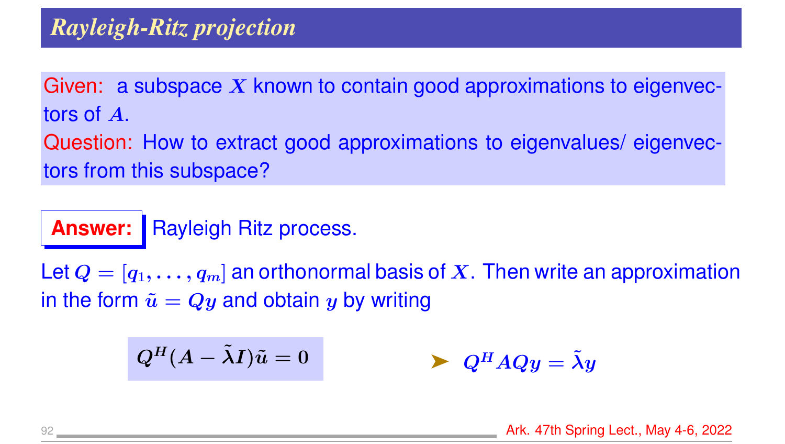Given: a subspace  $X$  known to contain good approximations to eigenvectors of A.

Question: How to extract good approximations to eigenvalues/ eigenvectors from this subspace?

**Answer:** Rayleigh Ritz process.

Let  $Q = [q_1, \ldots, q_m]$  an orthonormal basis of X. Then write an approximation in the form  $\tilde{u} = Qy$  and obtain y by writing

$$
Q^H (A - \tilde{\lambda} I) \tilde{u} = 0 \qquad \qquad \blacktriangleright \ Q^H A Q y = \tilde{\lambda} y
$$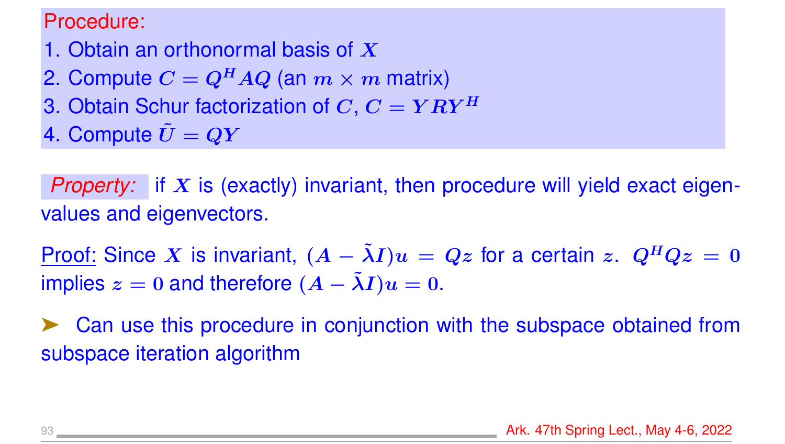#### Procedure:

- 1. Obtain an orthonormal basis of  $X$
- 2. Compute  $C = Q^H A Q$  (an  $m \times m$  matrix)
- 3. Obtain Schur factorization of C,  $C = Y R Y^H$
- 4. Compute  $\tilde{U}=QY$

*Property:* if X is (exactly) invariant, then procedure will yield exact eigenvalues and eigenvectors.

Proof: Since X is invariant,  $(A - \lambda I)u = Qz$  for a certain z.  $Q^H Qz = 0$ implies  $z = 0$  and therefore  $(A - \tilde{\lambda}I)u = 0$ .

Can use this procedure in conjunction with the subspace obtained from subspace iteration algorithm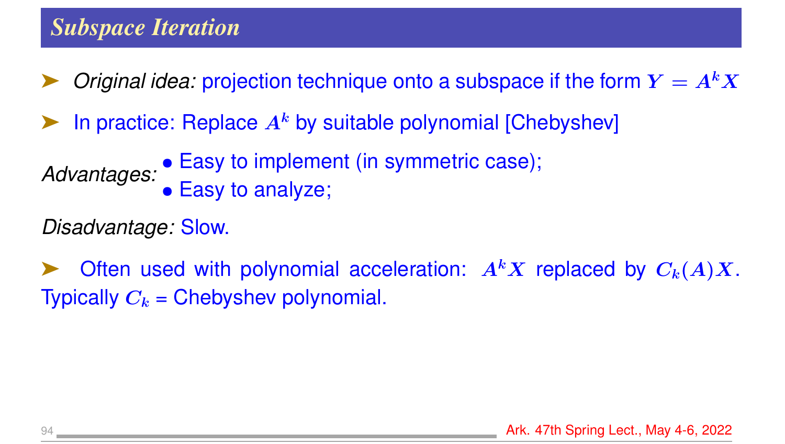*Original idea:* projection technique onto a subspace if the form  $Y = A<sup>k</sup> X$ 

In practice: Replace  $A^k$  by suitable polynomial [Chebyshev]

*Advantages:* • Easy to implement (in symmetric case); • Easy to analyze;

*Disadvantage:* Slow.

Often used with polynomial acceleration:  $A<sup>k</sup>X$  replaced by  $C<sub>k</sub>(A)X$ . Typically  $C_k$  = Chebyshev polynomial.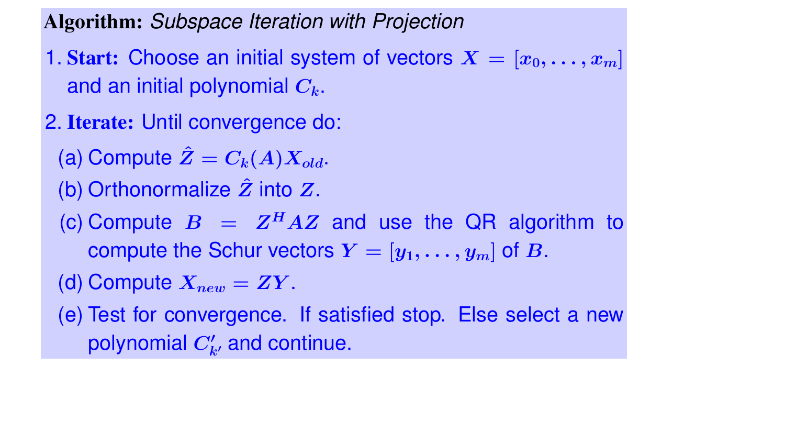Algorithm: *Subspace Iteration with Projection*

- 1. Start: Choose an initial system of vectors  $X = [x_0, \ldots, x_m]$ and an initial polynomial  $C_k$ .
- 2. Iterate: Until convergence do:
	- (a) Compute  $\hat{Z}=C_k(A)X_{old}$ .
	- (b) Orthonormalize  $\hat{Z}$  into  $Z$ .
	- (c) Compute  $B = Z^H A Z$  and use the QR algorithm to compute the Schur vectors  $Y = [y_1, \ldots, y_m]$  of B.
	- (d) Compute  $X_{new} = ZY$ .
	- (e) Test for convergence. If satisfied stop. Else select a new polynomial  $C_{k^{\prime}}^{\prime}$  and continue.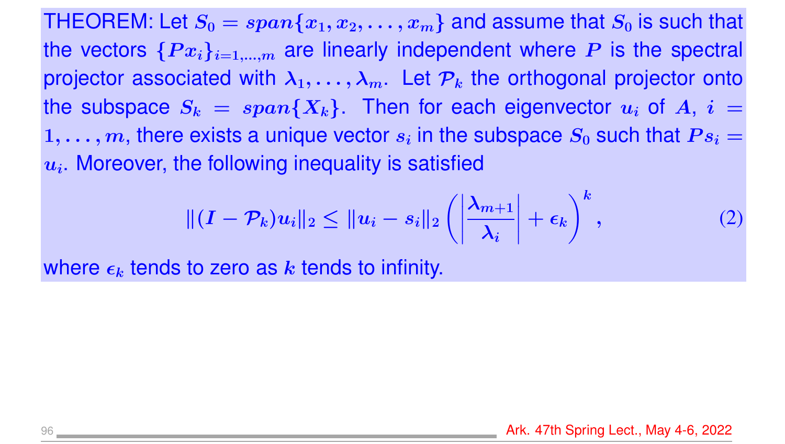THEOREM: Let  $S_0 = span\{x_1, x_2, \ldots, x_m\}$  and assume that  $S_0$  is such that the vectors  $\{Px_i\}_{i=1,\dots,m}$  are linearly independent where P is the spectral projector associated with  $\lambda_1, \ldots, \lambda_m$ . Let  $\mathcal{P}_k$  the orthogonal projector onto the subspace  $S_k = span\{X_k\}$ . Then for each eigenvector  $u_i$  of  $A_i$ ,  $i =$  $1, \ldots, m$ , there exists a unique vector  $s_i$  in the subspace  $S_0$  such that  $Ps_i =$  $u_i$ . Moreover, the following inequality is satisfied

$$
\| (I - \mathcal{P}_k) u_i \|_2 \le \| u_i - s_i \|_2 \left( \left| \frac{\lambda_{m+1}}{\lambda_i} \right| + \epsilon_k \right)^k, \tag{2}
$$

where  $\epsilon_k$  tends to zero as k tends to infinity.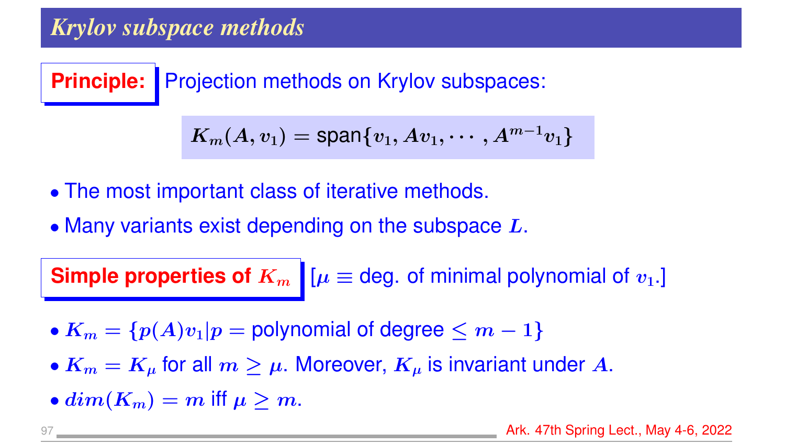### *Krylov subspace methods*

**Principle:** Projection methods on Krylov subspaces:

$$
\boldsymbol{K_m(A,v_1)=\text{span}\{v_1,Av_1,\cdots,A^{m-1}v_1\}}
$$

- The most important class of iterative methods.
- Many variants exist depending on the subspace  $L$ .

**Simple properties of**  $K_m$   $\mu \equiv$  deg. of minimal polynomial of  $v_1$ .

- $K_m = \{p(A)v_1|p =$  polynomial of degree  $\leq m-1\}$
- $K_m = K_\mu$  for all  $m \geq \mu$ . Moreover,  $K_\mu$  is invariant under A.
- $dim(K_m) = m$  iff  $\mu > m$ .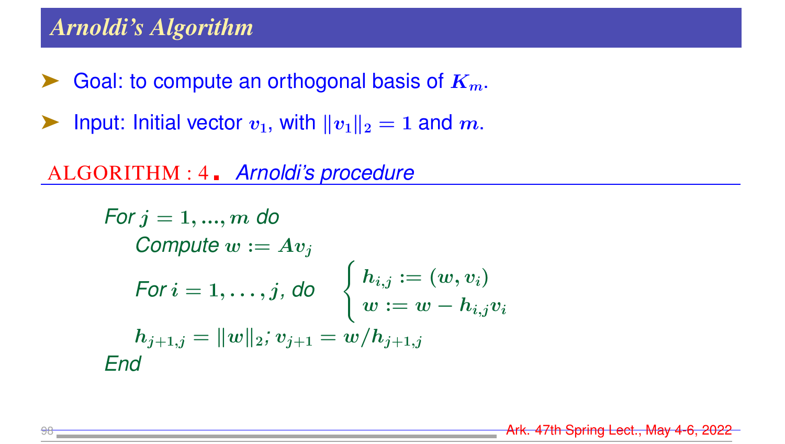### *Arnoldi's Algorithm*

- $\blacktriangleright$  Goal: to compute an orthogonal basis of  $K_m$ .
- ightharpoonup Input: Initial vector  $v_1$ , with  $||v_1||_2 = 1$  and m.

ALGORITHM : 4 *Arnoldi's procedure*

For 
$$
j = 1, ..., m
$$
 do  
\nCompute  $w := Av_j$   
\nFor  $i = 1, ..., j$ , do  
\n
$$
\begin{cases}\n h_{i,j} := (w, v_i) \\
w := w - h_{i,j}v_i \\
h_{j+1,j} = ||w||_2; v_{j+1} = w/h_{j+1,j}\n\end{cases}
$$
\nEnd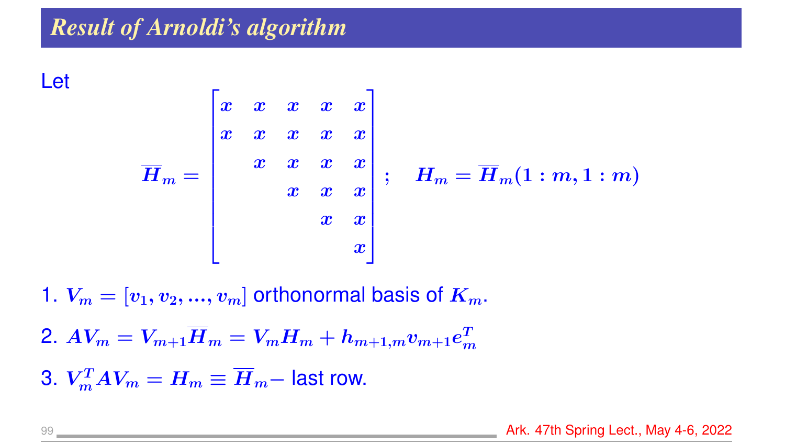Let

$$
\overline{H}_m = \begin{bmatrix} x & x & x & x & x \\ x & x & x & x & x \\ & x & x & x & x \\ & & x & x & x \\ & & & x & x \end{bmatrix};
$$

$$
\boldsymbol{H_m} = \boldsymbol{\overline{H}}_m (1:m,1:m)
$$

1.  $V_m = [v_1, v_2, ..., v_m]$  orthonormal basis of  $K_m$ .

2.  $AV_m = V_{m+1}\overline{H}_m = V_mH_m + h_{m+1,m}v_{m+1}e_m^T$  $\boldsymbol{m}$ 

3.  $V_m^T A V_m = H_m \equiv \overline{H}_m -$  last row.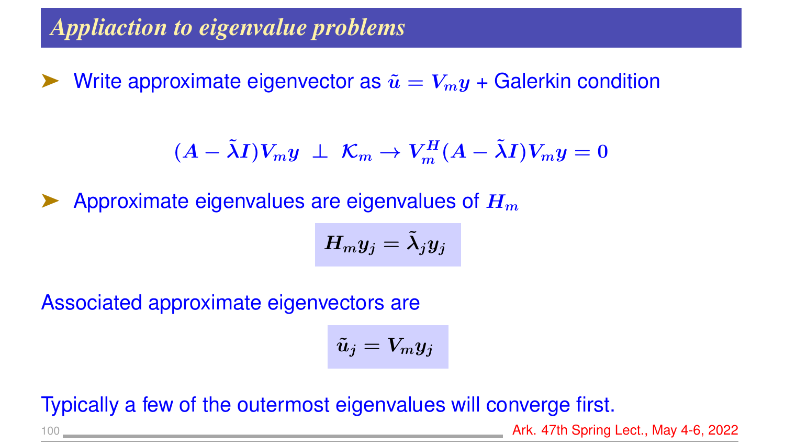Write approximate eigenvector as  $\tilde{u} = V_m y +$  Galerkin condition

$$
(A - \tilde{\lambda}I)V_my \perp \mathcal{K}_m \rightarrow V_m^H(A - \tilde{\lambda}I)V_my = 0
$$

Approximate eigenvalues are eigenvalues of  $H_m$ 

$$
H_my_j=\tilde{\lambda}_jy_j
$$

Associated approximate eigenvectors are

$$
\tilde{u}_j=V_my_j
$$

Typically a few of the outermost eigenvalues will converge first.

100 **Ark. 47th Spring Lect., May 4-6, 2022**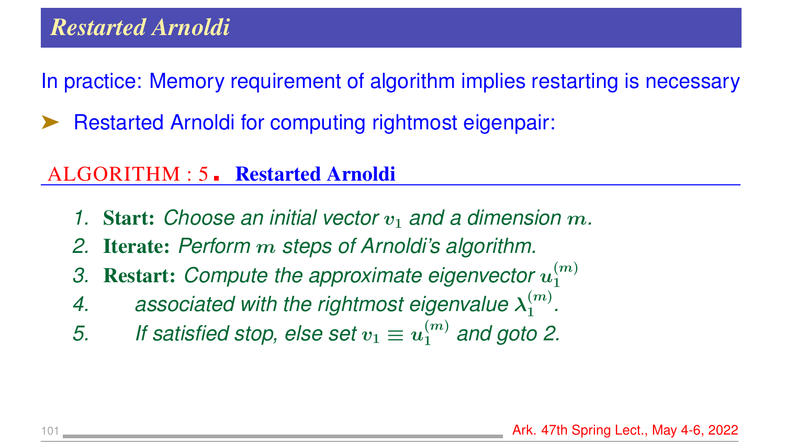In practice: Memory requirement of algorithm implies restarting is necessary

Restarted Arnoldi for computing rightmost eigenpair:

### ALGORITHM : 5. Restarted Arnoldi

- *1.* Start: Choose an initial vector  $v_1$  and a dimension  $m$ .
- *2.* Iterate: *Perform* m *steps of Arnoldi's algorithm.*
- 3. Restart: Compute the approximate eigenvector  $u_1^{(m)}$ 1
- 4. associated with the rightmost eigenvalue  $\lambda_1^{(m)}$  $\frac{(m)}{1}$ .
- 5. If satisfied stop, else set  $v_1 \equiv u_1^{(m)}$  and goto 2.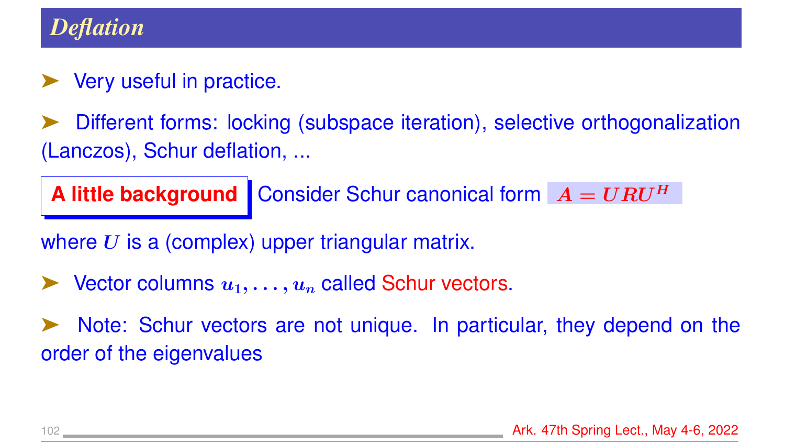### *Deflation*

### **Very useful in practice.**

Different forms: locking (subspace iteration), selective orthogonalization (Lanczos), Schur deflation, ...

**A little background** Consider Schur canonical form  $A = URU<sup>H</sup>$ 

where  $U$  is a (complex) upper triangular matrix.

Vector columns  $u_1, \ldots, u_n$  called Schur vectors.

Note: Schur vectors are not unique. In particular, they depend on the order of the eigenvalues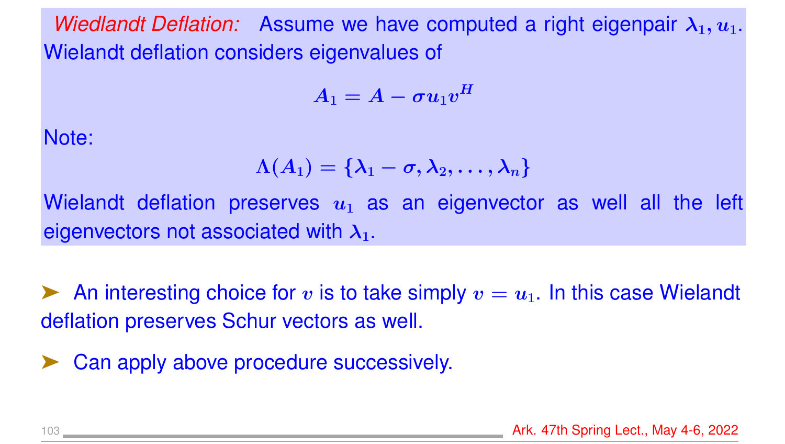*Wiedlandt Deflation:* Assume we have computed a right eigenpair  $\lambda_1, u_1$ . Wielandt deflation considers eigenvalues of

$$
A_1 = A - \sigma u_1 v^H
$$

Note:

$$
\Lambda(A_1)=\{\lambda_1-\sigma,\lambda_2,\ldots,\lambda_n\}
$$

Wielandt deflation preserves  $u_1$  as an eigenvector as well all the left eigenvectors not associated with  $\lambda_1$ .

An interesting choice for v is to take simply  $v = u_1$ . In this case Wielandt deflation preserves Schur vectors as well.

► Can apply above procedure successively.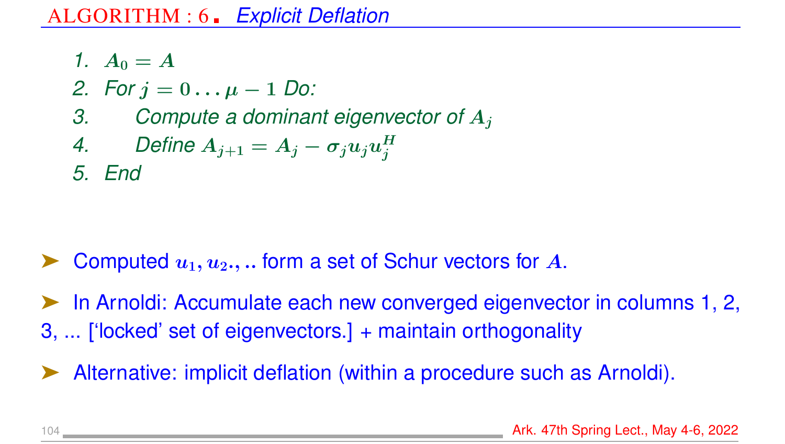$$
1. A_0=A
$$

- *2.* For  $j = 0... \mu 1$  Do:
- *3. Compute a dominant eigenvector of* A<sup>j</sup>

4. Define 
$$
A_{j+1} = A_j - \sigma_j u_j u_j^H
$$

*5. End*

Computed  $u_1, u_2, ...$  form a set of Schur vectors for A.

➤ In Arnoldi: Accumulate each new converged eigenvector in columns 1, 2, 3, ... ['locked' set of eigenvectors.] + maintain orthogonality

Alternative: implicit deflation (within a procedure such as Arnoldi).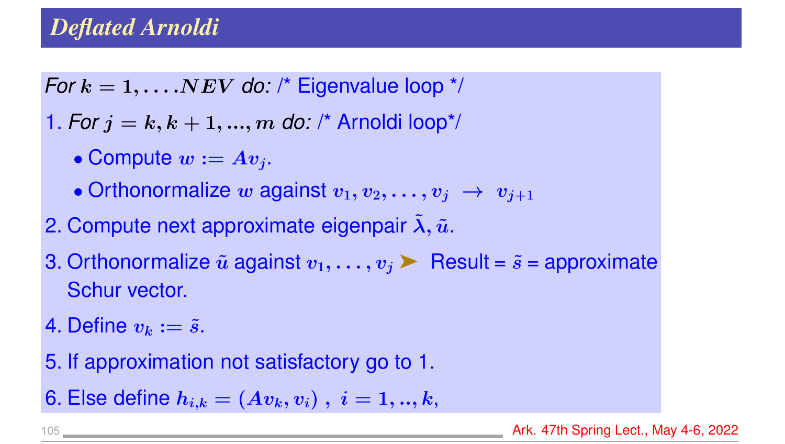## *Deflated Arnoldi*

*For*  $k = 1, \ldots NEV$  *do:* /\* Eigenvalue loop \*/

1. *For*  $j = k, k + 1, ..., m$  *do:* /\* Arnoldi loop\*/

- Compute  $w := Av_i$ .
- Orthonormalize w against  $v_1, v_2, \ldots, v_j \rightarrow v_{j+1}$
- 2. Compute next approximate eigenpair  $\tilde{\lambda}$ ,  $\tilde{u}$ .
- 3. Orthonormalize  $\tilde{u}$  against  $v_1, \ldots, v_j$  Result =  $\tilde{s}$  = approximate Schur vector.
- 4. Define  $v_k := \tilde{s}$ .
- 5. If approximation not satisfactory go to 1.
- 6. Else define  $h_{i,k} = (Av_k, v_i), i = 1, ..., k,$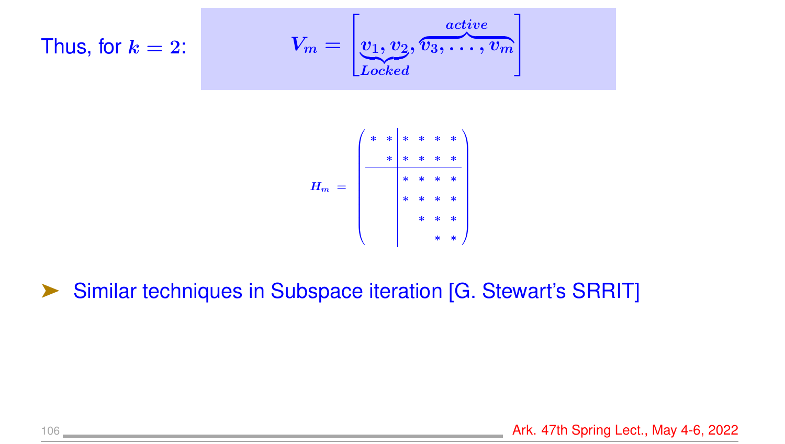Thus, for 
$$
k = 2
$$
:  
\n
$$
V_m = \begin{bmatrix} \frac{active}{v_1, v_2, v_3, \dots, v_m} \end{bmatrix}
$$



### Similar techniques in Subspace iteration [G. Stewart's SRRIT]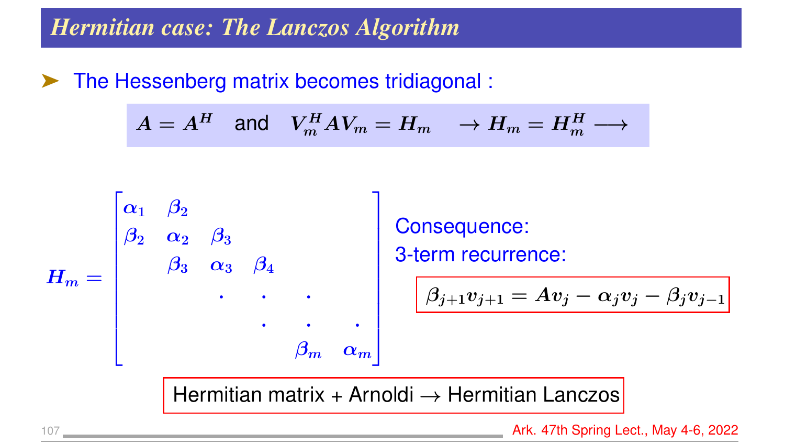➤ The Hessenberg matrix becomes tridiagonal :

$$
A = A^H \quad \text{and} \quad V_m^H A V_m = H_m \quad \rightarrow H_m = H_m^H \longrightarrow
$$



Consequence: 3-term recurrence:

$$
\boxed{\beta_{j+1} v_{j+1} = A v_j - \alpha_j v_j - \beta_j v_{j-1}}
$$

Hermitian matrix + Arnoldi  $\rightarrow$  Hermitian Lanczos

107 Ark. 47th Spring Lect., May 4-6, 2022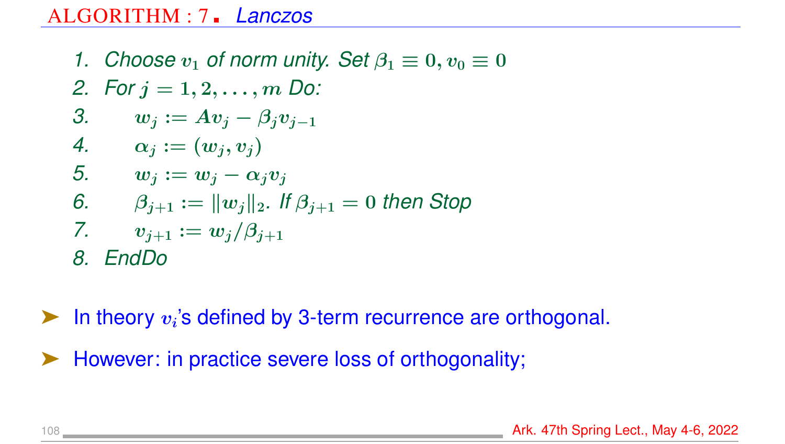#### ALGORITHM : 7 *Lanczos*

*1. Choose*  $v_1$  *of norm unity. Set*  $\beta_1 \equiv 0, v_0 \equiv 0$ *2. For* j = 1, 2, . . . , m *Do:* 3.  $w_i := Av_j - \beta_i v_{j-1}$ 4.  $\alpha_i := (w_i, v_i)$ 5.  $w_j := w_j - \alpha_j v_j$ *6.*  $\beta_{i+1} := ||w_i||_2$ . If  $\beta_{i+1} = 0$  then Stop *7.*  $v_{i+1} := w_i/\beta_{i+1}$ *8. EndDo*

 $\blacktriangleright$  In theory  $v_i$ 's defined by 3-term recurrence are orthogonal.

However: in practice severe loss of orthogonality;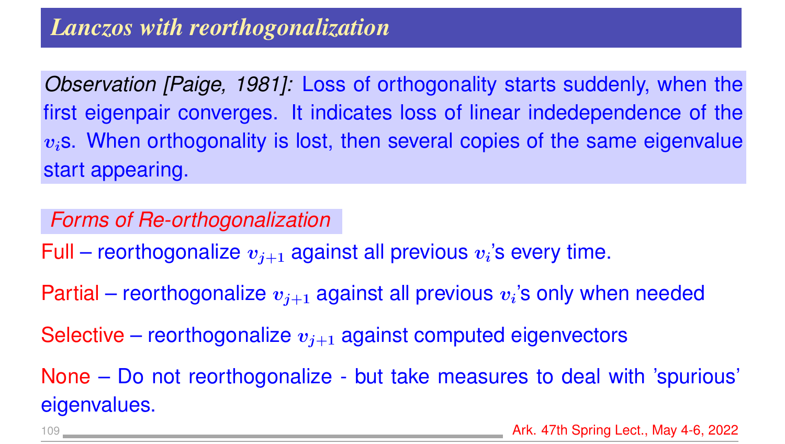*Observation [Paige, 1981]:* Loss of orthogonality starts suddenly, when the first eigenpair converges. It indicates loss of linear indedependence of the  $v_i$ s. When orthogonality is lost, then several copies of the same eigenvalue start appearing.

*Forms of Re-orthogonalization*

Full – reorthogonalize  $v_{j+1}$  against all previous  $v_i$ 's every time.

Partial – reorthogonalize  $v_{j+1}$  against all previous  $v_i$ 's only when needed

Selective – reorthogonalize  $v_{i+1}$  against computed eigenvectors

None – Do not reorthogonalize - but take measures to deal with 'spurious' eigenvalues.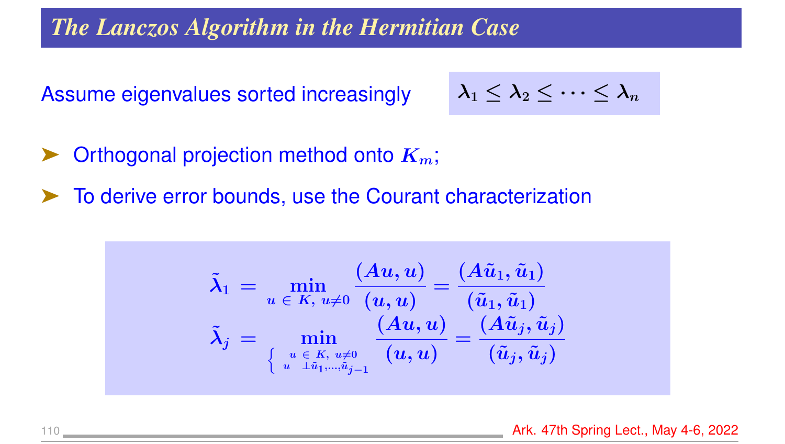*The Lanczos Algorithm in the Hermitian Case*

Assume eigenvalues sorted increasingly

$$
\lambda_1\leq \lambda_2\leq \cdots \leq \lambda_n
$$

- Orthogonal projection method onto  $K_m$ ;
- ➤ To derive error bounds, use the Courant characterization

$$
\tilde{\lambda}_1 \,=\, \min_{\scriptsize \begin{array}{c} u \in K,\, u \neq 0 \\ \left\{ \begin{array}{c} \left( \boldsymbol{A} \boldsymbol{u}, \boldsymbol{u} \right) \end{array} \right.}_{\scriptsize \left\{ \begin{array}{c} \left( \boldsymbol{A} \boldsymbol{\tilde{u}}_1, \boldsymbol{\tilde{u}}_1 \right) \end{array} \right.}_{\scriptsize \left\{ \begin{array}{c} \boldsymbol{\tilde{u}}_1, \boldsymbol{\tilde{u}}_1 \end{array} \right\}=\boldsymbol{\tilde{\tilde{u}}}_1, \boldsymbol{\tilde{u}}_1 \end{array}} \quad \ \ \, \tilde{\lambda}_j \,=\, \min_{\left\{ \begin{array}{c} u \in K,\, u \neq 0 \\ u \quad \perp \tilde{u}_1, ..., \tilde{u}_{j-1} \end{array} \right.}} \frac{\left( \boldsymbol{A} \boldsymbol{u}, \boldsymbol{u} \right) }{\left( \boldsymbol{u}, \boldsymbol{u} \right)} = \frac{\left( \boldsymbol{A} \tilde{\boldsymbol{u}}_j, \boldsymbol{\tilde{u}}_j \right)}{\left( \tilde{\boldsymbol{u}}_j, \boldsymbol{\tilde{u}}_j \right)}
$$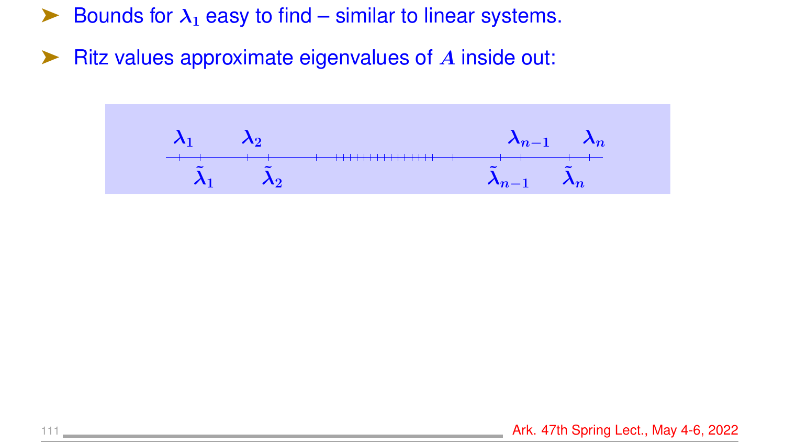$\blacktriangleright$  Bounds for  $\lambda_1$  easy to find – similar to linear systems.

 $\blacktriangleright$  Ritz values approximate eigenvalues of  $\bm{A}$  inside out:

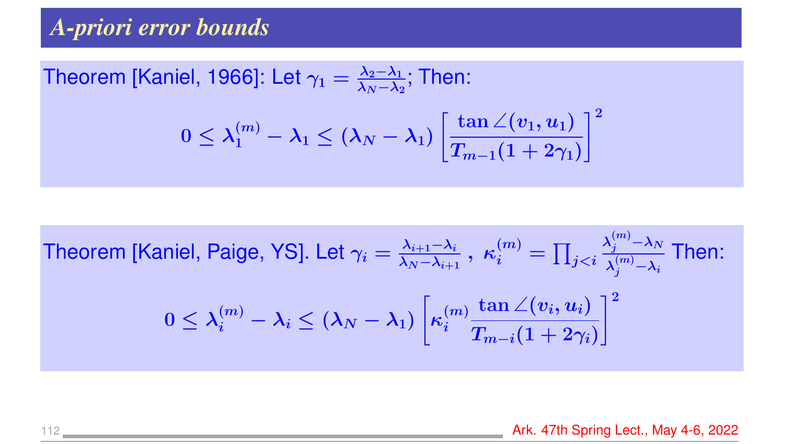# *A-priori error bounds*

Theorem [Kaniel, 1966]: Let 
$$
\gamma_1 = \frac{\lambda_2 - \lambda_1}{\lambda_N - \lambda_2}
$$
; Then:  
\n
$$
0 \le \lambda_1^{(m)} - \lambda_1 \le (\lambda_N - \lambda_1) \left[ \frac{\tan \angle(v_1, u_1)}{T_{m-1}(1 + 2\gamma_1)} \right]^2
$$

Theorem [Kaniel, Paige, YS]. Let 
$$
\gamma_i = \frac{\lambda_{i+1} - \lambda_i}{\lambda_N - \lambda_{i+1}}
$$
,  $\kappa_i^{(m)} = \prod_{j < i} \frac{\lambda_j^{(m)} - \lambda_N}{\lambda_j^{(m)} - \lambda_i}$  Then:  $0 \leq \lambda_i^{(m)} - \lambda_i \leq (\lambda_N - \lambda_1) \left[ \kappa_i^{(m)} \frac{\tan \angle(v_i, u_i)}{T_{m-i}(1 + 2\gamma_i)} \right]^2$ 

112 **Ark. 47th Spring Lect., May 4-6, 2022**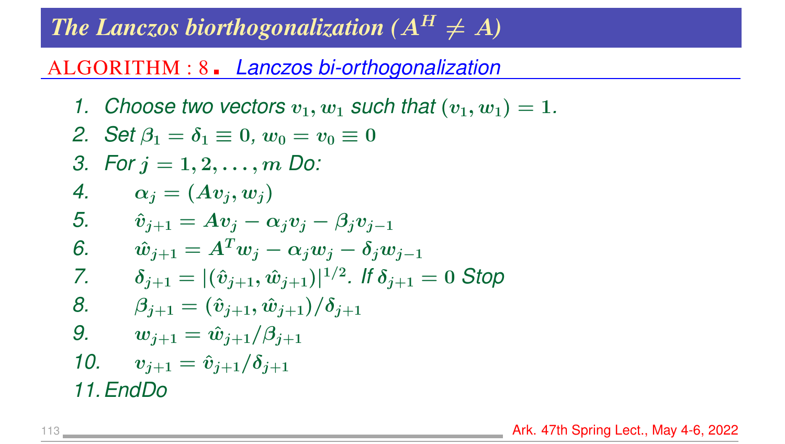# *The Lanczos biorthogonalization*  $(A^H \neq A)$

#### ALGORITHM : 8 *Lanczos bi-orthogonalization*

*1. Choose two vectors*  $v_1, w_1$  *such that*  $(v_1, w_1) = 1$ *.* 

2. Set 
$$
\beta_1 = \delta_1 \equiv 0
$$
,  $w_0 = v_0 \equiv 0$   
\n3. For  $j = 1, 2, ..., m$  Do:  
\n4.  $\alpha_j = (Av_j, w_j)$   
\n5.  $\hat{v}_{j+1} = Av_j - \alpha_j v_j - \beta_j v_{j-1}$   
\n6.  $\hat{w}_{j+1} = A^T w_j - \alpha_j w_j - \delta_j w_{j-1}$   
\n7.  $\delta_{j+1} = |(\hat{v}_{j+1}, \hat{w}_{j+1})|^{1/2}$ . If  $\delta_{j+1} = 0$  Stop  
\n8.  $\beta_{j+1} = (\hat{v}_{j+1}, \hat{w}_{j+1})/\delta_{j+1}$   
\n9.  $w_{j+1} = \hat{w}_{j+1}/\beta_{j+1}$   
\n10.  $v_{j+1} = \hat{v}_{j+1}/\delta_{j+1}$ 

*11.EndDo*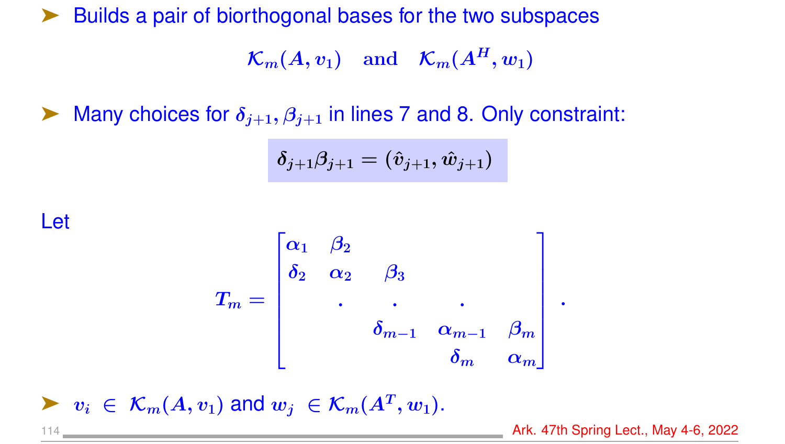➤ Builds a pair of biorthogonal bases for the two subspaces

 $\mathcal{K}_m(A, v_1)$  and  $\mathcal{K}_m(A^H, w_1)$ 

Many choices for  $\delta_{j+1}, \beta_{j+1}$  in lines 7 and 8. Only constraint:

$$
\delta_{j+1}\beta_{j+1}=(\hat{v}_{j+1},\hat{w}_{j+1})
$$

Let

$$
T_m=\begin{bmatrix} \alpha_1&\beta_2&&&\\ \delta_2&\alpha_2&\beta_3&&\\ &\cdot&&\cdot&&\\ &&\delta_{m-1}&\alpha_{m-1}&\beta_m\\ &&&\delta_m&\alpha_m\\ \end{bmatrix}\,.
$$

 $\blacktriangleright \ v_i \in \mathcal{K}_m(A, v_1)$  and  $w_j \in \mathcal{K}_m(A^T, w_1)$ .

114 Ark. 47th Spring Lect., May 4-6, 2022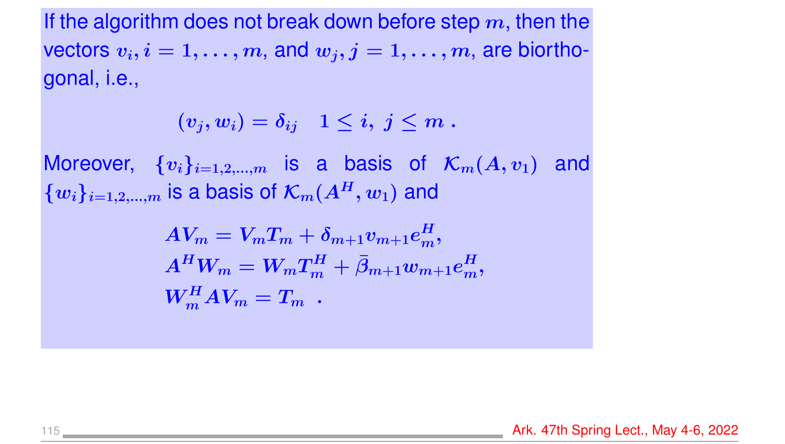If the algorithm does not break down before step  $m$ , then the vectors  $v_i, i = 1, \ldots, m$ , and  $w_j, j = 1, \ldots, m$ , are biorthogonal, i.e.,

$$
(v_j,w_i)=\delta_{ij}\quad 1\le i,\ j\le m\ .
$$

Moreover,  $\{v_i\}_{i=1,2,...,m}$  is a basis of  $\mathcal{K}_m(A, v_1)$  and  $\{w_i\}_{i=1,2,...,m}$  is a basis of  $\mathcal{K}_m(A^H, w_1)$  and

$$
\begin{aligned} AV_m &= V_m T_m + \delta_{m+1} v_{m+1} e^H_m, \\ A^H W_m &= W_m T_m^H + \bar{\beta}_{m+1} w_{m+1} e^H_m, \\ W_m^H A V_m &= T_m \end{aligned}
$$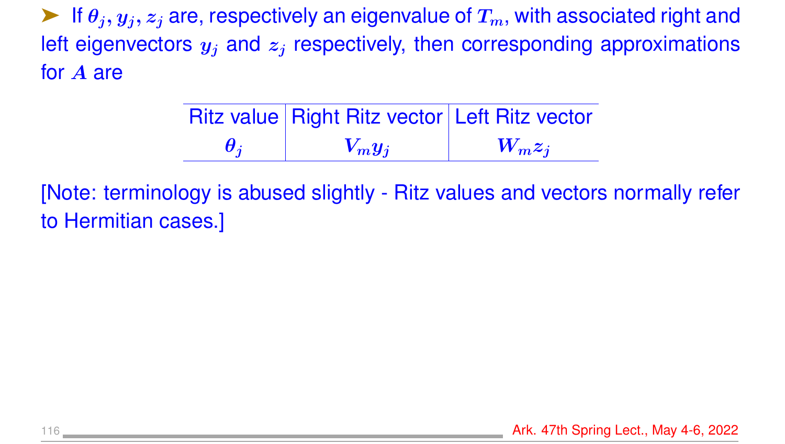$\blacktriangleright$  If  $\theta_i, y_i, z_i$  are, respectively an eigenvalue of  $T_m$ , with associated right and left eigenvectors  $y_i$  and  $z_i$  respectively, then corresponding approximations for A are

|                         | <b>Ritz value Right Ritz vector Left Ritz vector</b> |           |
|-------------------------|------------------------------------------------------|-----------|
| $\boldsymbol{\theta_i}$ | $V_m y_i$                                            | $W_m z_i$ |

[Note: terminology is abused slightly - Ritz values and vectors normally refer to Hermitian cases.]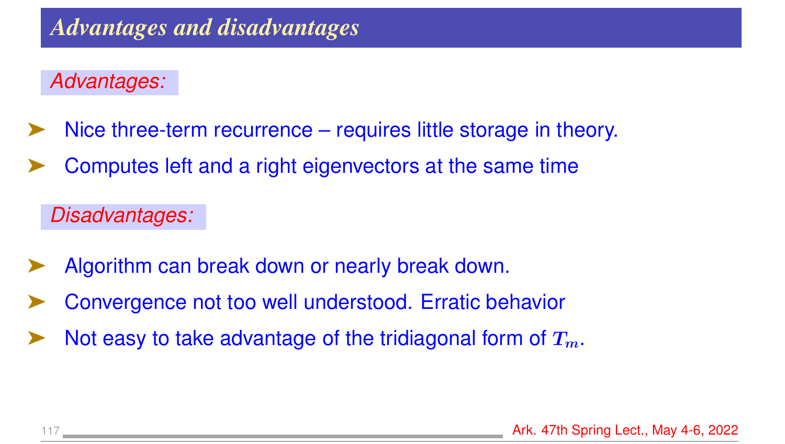## *Advantages:*

- Nice three-term recurrence requires little storage in theory.
- Computes left and a right eigenvectors at the same time

*Disadvantages:*

- Algorithm can break down or nearly break down.
- ➤ Convergence not too well understood. Erratic behavior
- Not easy to take advantage of the tridiagonal form of  $T_m$ .